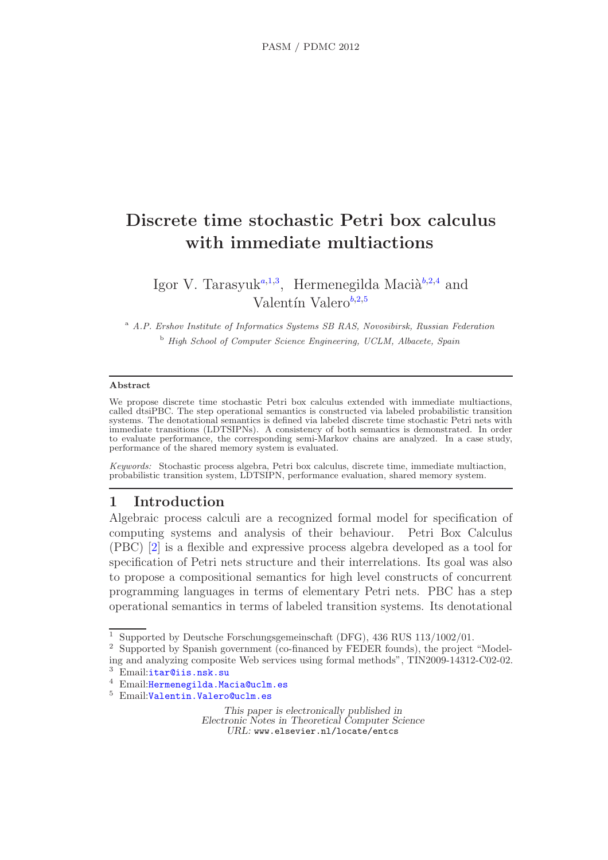# Discrete time stochastic Petri box calculus with immediate multiactions

Igor V. T[a](#page-0-0)rasyuk<sup>a,[1](#page-0-1),[3](#page-0-1)</sup>, Hermenegilda Macia<sup>[b](#page-0-2),[2](#page-0-1),[4](#page-0-1)</sup> and Valentín Valer $o^{b,2,5}$  $o^{b,2,5}$  $o^{b,2,5}$  $o^{b,2,5}$  $o^{b,2,5}$  $o^{b,2,5}$  $o^{b,2,5}$ 

<span id="page-0-2"></span><span id="page-0-1"></span><span id="page-0-0"></span><sup>a</sup> *A.P. Ershov Institute of Informatics Systems SB RAS, Novosibirsk, Russian Federation* <sup>b</sup> *High School of Computer Science Engineering, UCLM, Albacete, Spain*

#### Abstract

We propose discrete time stochastic Petri box calculus extended with immediate multiactions, called dtsiPBC. The step operational semantics is constructed via labeled probabilistic transition systems. The denotational semantics is defined via labeled discrete time stochastic Petri nets with immediate transitions (LDTSIPNs). A consistency of both semantics is demonstrated. In order to evaluate performance, the corresponding semi-Markov chains are analyzed. In a case study, performance of the shared memory system is evaluated.

*Keywords:* Stochastic process algebra, Petri box calculus, discrete time, immediate multiaction, probabilistic transition system, LDTSIPN, performance evaluation, shared memory system.

## 1 Introduction

Algebraic process calculi are a recognized formal model for specification of computing systems and analysis of their behaviour. Petri Box Calculus (PBC) [\[2\]](#page-20-0) is a flexible and expressive process algebra developed as a tool for specification of Petri nets structure and their interrelations. Its goal was also to propose a compositional semantics for high level constructs of concurrent programming languages in terms of elementary Petri nets. PBC has a step operational semantics in terms of labeled transition systems. Its denotational

This paper is electronically published in Electronic Notes in Theoretical Computer Science URL: www.elsevier.nl/locate/entcs

<sup>1</sup> Supported by Deutsche Forschungsgemeinschaft (DFG), 436 RUS 113/1002/01.

<sup>2</sup> Supported by Spanish government (co-financed by FEDER founds), the project "Modeling and analyzing composite Web services using formal methods", TIN2009-14312-C02-02.

<sup>3</sup> Email:[itar@iis.nsk.su](mailto:itar@iis.nsk.su)

<sup>4</sup> Email:[Hermenegilda.Macia@uclm.es](mailto:Hermenegilda.Macia@uclm.es)

<sup>5</sup> Email:[Valentin.Valero@uclm.es](mailto:Valentin.Valero@uclm.es)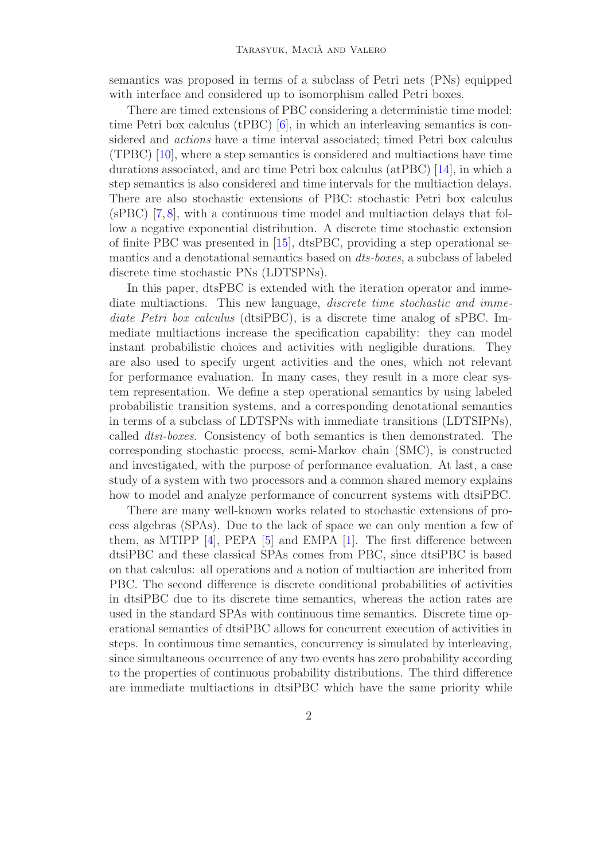semantics was proposed in terms of a subclass of Petri nets (PNs) equipped with interface and considered up to isomorphism called Petri boxes.

There are timed extensions of PBC considering a deterministic time model: time Petri box calculus (tPBC) [\[6\]](#page-20-1), in which an interleaving semantics is considered and *actions* have a time interval associated; timed Petri box calculus (TPBC) [\[10\]](#page-20-2), where a step semantics is considered and multiactions have time durations associated, and arc time Petri box calculus (atPBC) [\[14\]](#page-20-3), in which a step semantics is also considered and time intervals for the multiaction delays. There are also stochastic extensions of PBC: stochastic Petri box calculus (sPBC) [\[7,](#page-20-4) [8\]](#page-20-5), with a continuous time model and multiaction delays that follow a negative exponential distribution. A discrete time stochastic extension of finite PBC was presented in [\[15\]](#page-20-6), dtsPBC, providing a step operational semantics and a denotational semantics based on *dts-boxes*, a subclass of labeled discrete time stochastic PNs (LDTSPNs).

In this paper, dtsPBC is extended with the iteration operator and immediate multiactions. This new language, *discrete time stochastic and imme*diate Petri box calculus (dtsiPBC), is a discrete time analog of sPBC. Immediate multiactions increase the specification capability: they can model instant probabilistic choices and activities with negligible durations. They are also used to specify urgent activities and the ones, which not relevant for performance evaluation. In many cases, they result in a more clear system representation. We define a step operational semantics by using labeled probabilistic transition systems, and a corresponding denotational semantics in terms of a subclass of LDTSPNs with immediate transitions (LDTSIPNs), called dtsi-boxes. Consistency of both semantics is then demonstrated. The corresponding stochastic process, semi-Markov chain (SMC), is constructed and investigated, with the purpose of performance evaluation. At last, a case study of a system with two processors and a common shared memory explains how to model and analyze performance of concurrent systems with dtsiPBC.

There are many well-known works related to stochastic extensions of process algebras (SPAs). Due to the lack of space we can only mention a few of them, as MTIPP  $[4]$ , PEPA  $[5]$  and EMPA  $[1]$ . The first difference between dtsiPBC and these classical SPAs comes from PBC, since dtsiPBC is based on that calculus: all operations and a notion of multiaction are inherited from PBC. The second difference is discrete conditional probabilities of activities in dtsiPBC due to its discrete time semantics, whereas the action rates are used in the standard SPAs with continuous time semantics. Discrete time operational semantics of dtsiPBC allows for concurrent execution of activities in steps. In continuous time semantics, concurrency is simulated by interleaving, since simultaneous occurrence of any two events has zero probability according to the properties of continuous probability distributions. The third difference are immediate multiactions in dtsiPBC which have the same priority while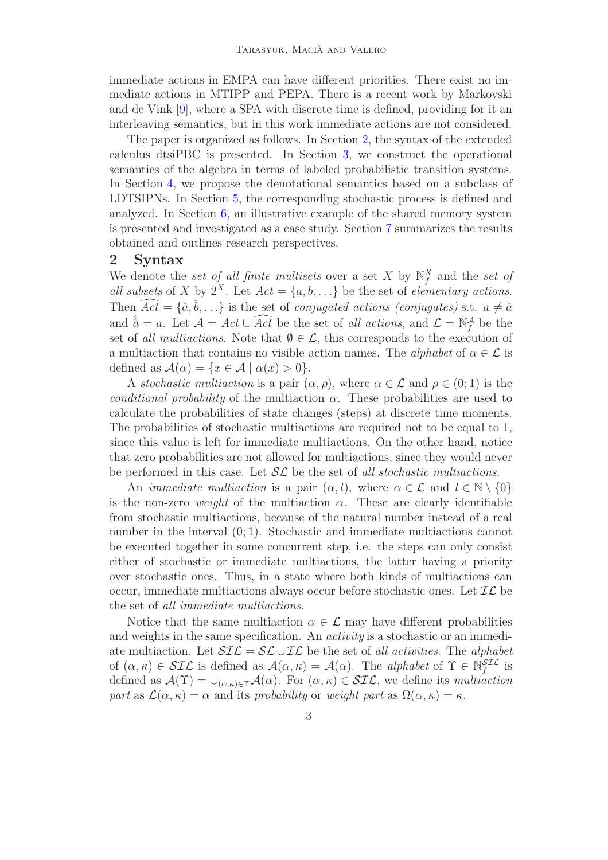immediate actions in EMPA can have different priorities. There exist no immediate actions in MTIPP and PEPA. There is a recent work by Markovski and de Vink [\[9\]](#page-20-10), where a SPA with discrete time is defined, providing for it an interleaving semantics, but in this work immediate actions are not considered.

The paper is organized as follows. In Section [2,](#page-2-0) the syntax of the extended calculus dtsiPBC is presented. In Section [3,](#page-4-0) we construct the operational semantics of the algebra in terms of labeled probabilistic transition systems. In Section [4,](#page-10-0) we propose the denotational semantics based on a subclass of LDTSIPNs. In Section [5,](#page-14-0) the corresponding stochastic process is defined and analyzed. In Section [6,](#page-16-0) an illustrative example of the shared memory system is presented and investigated as a case study. Section [7](#page-19-0) summarizes the results obtained and outlines research perspectives.

#### <span id="page-2-0"></span>2 Syntax

We denote the set of all finite multisets over a set X by  $\mathbb{N}_f^X$  and the set of all subsets of X by  $2^X$ . Let  $Act = \{a, b, \ldots\}$  be the set of *elementary actions*. Then  $\widehat{Act} = \{\hat{a}, \hat{b}, ...\}$  is the set of *conjugated actions (conjugates)* s.t.  $a \neq \hat{a}$ and  $\hat{a} = a$ . Let  $\mathcal{A} = Act \cup \widehat{Act}$  be the set of all actions, and  $\mathcal{L} = \mathbb{N}_f^{\mathcal{A}}$  be the set of all multiactions. Note that  $\emptyset \in \mathcal{L}$ , this corresponds to the execution of a multiaction that contains no visible action names. The *alphabet* of  $\alpha \in \mathcal{L}$  is defined as  $\mathcal{A}(\alpha) = \{x \in \mathcal{A} \mid \alpha(x) > 0\}.$ 

A stochastic multiaction is a pair  $(\alpha, \rho)$ , where  $\alpha \in \mathcal{L}$  and  $\rho \in (0, 1)$  is the conditional probability of the multiaction  $\alpha$ . These probabilities are used to calculate the probabilities of state changes (steps) at discrete time moments. The probabilities of stochastic multiactions are required not to be equal to 1, since this value is left for immediate multiactions. On the other hand, notice that zero probabilities are not allowed for multiactions, since they would never be performed in this case. Let  $\mathcal{SL}$  be the set of all stochastic multiactions.

An *immediate multiaction* is a pair  $(\alpha, l)$ , where  $\alpha \in \mathcal{L}$  and  $l \in \mathbb{N} \setminus \{0\}$ is the non-zero weight of the multiaction  $\alpha$ . These are clearly identifiable from stochastic multiactions, because of the natural number instead of a real number in the interval  $(0, 1)$ . Stochastic and immediate multiactions cannot be executed together in some concurrent step, i.e. the steps can only consist either of stochastic or immediate multiactions, the latter having a priority over stochastic ones. Thus, in a state where both kinds of multiactions can occur, immediate multiactions always occur before stochastic ones. Let  $\mathcal{IL}$  be the set of all immediate multiactions.

Notice that the same multiaction  $\alpha \in \mathcal{L}$  may have different probabilities and weights in the same specification. An activity is a stochastic or an immediate multiaction. Let  $\mathcal{SIL} = \mathcal{SL} \cup \mathcal{IL}$  be the set of all activities. The alphabet of  $(\alpha, \kappa) \in \mathcal{SIL}$  is defined as  $\mathcal{A}(\alpha, \kappa) = \mathcal{A}(\alpha)$ . The alphabet of  $\Upsilon \in \mathbb{N}^{\mathcal{SIL}}_f$  is defined as  $\mathcal{A}(\Upsilon) = \bigcup_{(\alpha,\kappa)\in\Upsilon}\mathcal{A}(\alpha)$ . For  $(\alpha,\kappa) \in \mathcal{SIL}$ , we define its multiaction part as  $\mathcal{L}(\alpha,\kappa) = \alpha$  and its probability or weight part as  $\Omega(\alpha,\kappa) = \kappa$ .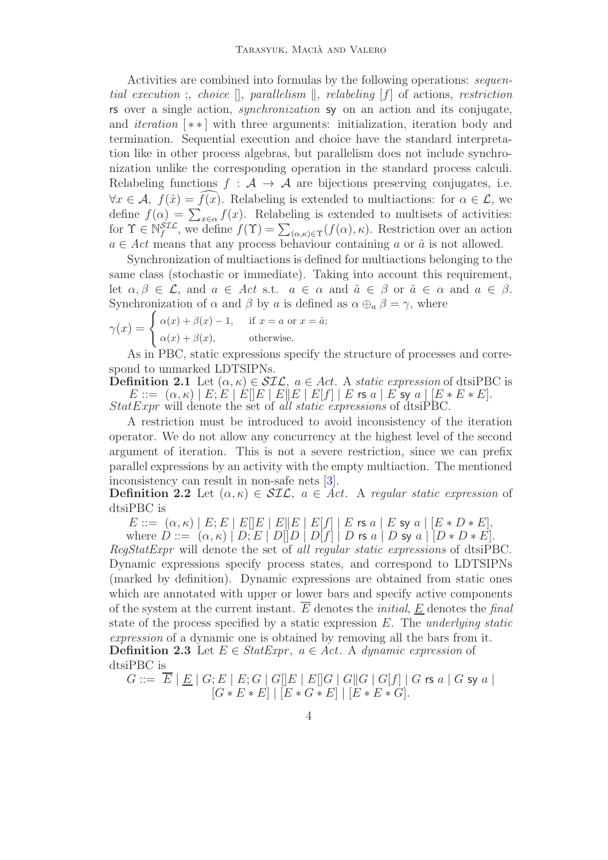Activities are combined into formulas by the following operations: sequential execution ;, choice  $\parallel$ , parallelism  $\parallel$ , relabeling  $\parallel f \parallel$  of actions, restriction rs over a single action, synchronization sy on an action and its conjugate, and *iteration* [ \* \* ] with three arguments: initialization, iteration body and termination. Sequential execution and choice have the standard interpretation like in other process algebras, but parallelism does not include synchronization unlike the corresponding operation in the standard process calculi. Relabeling functions  $f : A \rightarrow A$  are bijections preserving conjugates, i.e.  $\forall x \in \mathcal{A}, f(\hat{x}) = f(x)$ . Relabeling is extended to multiactions: for  $\alpha \in \mathcal{L}$ , we define  $f(\alpha) = \sum_{x \in \alpha} f(x)$ . Relabeling is extended to multisets of activities: for  $\Upsilon \in \mathbb{N}_{f}^{\mathcal{SLL}}$ , we define  $f(\Upsilon) = \sum_{(\alpha,\kappa) \in \Upsilon} (f(\alpha), \kappa)$ . Restriction over an action  $a \in Act$  means that any process behaviour containing a or  $\hat{a}$  is not allowed.

Synchronization of multiactions is defined for multiactions belonging to the same class (stochastic or immediate). Taking into account this requirement, let  $\alpha, \beta \in \mathcal{L}$ , and  $a \in \mathcal{A}ct$  s.t.  $a \in \alpha$  and  $\hat{a} \in \beta$  or  $\hat{a} \in \alpha$  and  $a \in \beta$ . Synchronization of  $\alpha$  and  $\beta$  by a is defined as  $\alpha \oplus_{\alpha} \beta = \gamma$ , where

$$
\gamma(x) = \begin{cases} \alpha(x) + \beta(x) - 1, & \text{if } x = a \text{ or } x = \hat{a}; \\ \alpha(x) + \beta(x), & \text{otherwise.} \end{cases}
$$

As in PBC, static expressions specify the structure of processes and correspond to unmarked LDTSIPNs.

**Definition 2.1** Let  $(\alpha, \kappa) \in \mathcal{SIL}$ ,  $a \in Act$ . A static expression of dtsiPBC is  $E ::= (\alpha, \kappa) | E; E | E E | E | E | E | E | f | | E$  rs  $a | E$  sy  $a | [E * E * E].$ StatExpr will denote the set of all static expressions of dtsiPBC.

A restriction must be introduced to avoid inconsistency of the iteration operator. We do not allow any concurrency at the highest level of the second argument of iteration. This is not a severe restriction, since we can prefix parallel expressions by an activity with the empty multiaction. The mentioned inconsistency can result in non-safe nets [\[3\]](#page-20-11).

**Definition 2.2** Let  $(\alpha, \kappa) \in \mathcal{SIL}$ ,  $a \in Act$ . A regular static expression of dtsiPBC is

 $E ::= (\alpha, \kappa) | E; E | E | E | E | E | E | E | f | E \text{ is a} | E \text{ sy a} | [E * D * E],$ 

where  $D ::= (\alpha, \kappa) | D; E | D[|D | D[f] | D$  rs  $a | D$  sy  $a | [D * D * E].$ RegStatExpr will denote the set of all regular static expressions of dtsiPBC. Dynamic expressions specify process states, and correspond to LDTSIPNs (marked by definition). Dynamic expressions are obtained from static ones which are annotated with upper or lower bars and specify active components of the system at the current instant.  $\overline{E}$  denotes the *initial*,  $\underline{E}$  denotes the *final* state of the process specified by a static expression  $E$ . The underlying static expression of a dynamic one is obtained by removing all the bars from it. **Definition 2.3** Let  $E \in StatExpr$ ,  $a \in Act$ . A dynamic expression of dtsiPBC is

$$
G ::= \overline{E} | \underline{E} | G; E | E; G | G[|E| | E[|G| | G| | G| | G| | G| | G \text{ is a } | G \text{ s y a } | G \text{ s y a } | G \text{ s y a } | G \text{ s y a } | G \text{ s y a } | G \text{ s y a } | G \text{ s y a } | G \text{ s y a } | G \text{ s y a } | G \text{ s y a } | G \text{ s y a } | G \text{ s y a } | G \text{ s y a } | G \text{ s y a } | G \text{ s y a } | G \text{ s y a } | G \text{ s y a } | G \text{ s y a } | G \text{ s y a } | G \text{ s y a } | G \text{ s y a } | G \text{ s y a } | G \text{ s y a } | G \text{ s y a } | G \text{ s y a } | G \text{ s y a } | G \text{ s y a } | G \text{ s y a } | G \text{ s y a } | G \text{ s y a } | G \text{ s y a } | G \text{ s y a } | G \text{ s y a } | G \text{ s y a } | G \text{ s y a } | G \text{ s y a } | G \text{ s y a } | G \text{ s y a } | G \text{ s y a } | G \text{ s y a } | G \text{ s y a } | G \text{ s y a } | G \text{ s y a } | G \text{ s y a } | G \text{ s y a } | G \text{ s y a } | G \text{ s y a } | G \text{ s y a } | G \text{ s y a } | G \text{ s y a } | G \text{ s y a } | G \text{ s y a } | G \text{ s y a } | G \text{ s y a } | G \text{ s y a } | G \text{ s y a } | G \text{ s y a } | G \text{ s y a } | G \text{ s y a } | G \text{ s y a } | G \text{ s y a } | G \text{ s y a } | G \text{ s y a } | G \text{ s y a } | G \text{ s y a } | G \text{ s y a } | G \text{ s y a } | G \text{ s y a } | G \text{ s y a } | G \text{ s y a } | G \text{ s y a } | G \text{ s y a } | G \text{ s y a } | G \text{ s y a } | G \text{ s y a } | G \text{ s y a } | G \text{ s y a } | G \text{ s y a } | G \
$$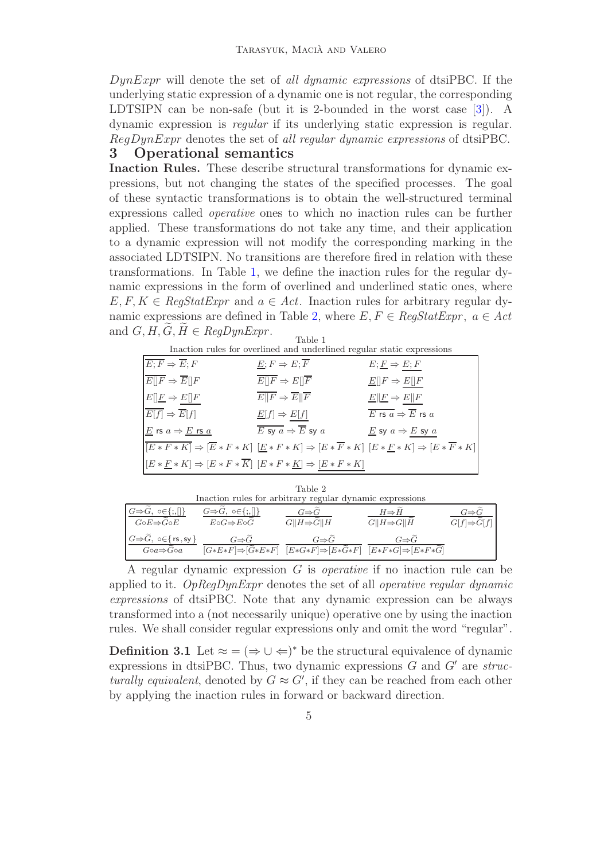$DynExpr$  will denote the set of all dynamic expressions of dtsiPBC. If the underlying static expression of a dynamic one is not regular, the corresponding LDTSIPN can be non-safe (but it is 2-bounded in the worst case [\[3\]](#page-20-11)). A dynamic expression is regular if its underlying static expression is regular. RegDynExpr denotes the set of all regular dynamic expressions of dtsiPBC.

# <span id="page-4-0"></span>3 Operational semantics

Inaction Rules. These describe structural transformations for dynamic expressions, but not changing the states of the specified processes. The goal of these syntactic transformations is to obtain the well-structured terminal expressions called operative ones to which no inaction rules can be further applied. These transformations do not take any time, and their application to a dynamic expression will not modify the corresponding marking in the associated LDTSIPN. No transitions are therefore fired in relation with these transformations. In Table [1,](#page-4-1) we define the inaction rules for the regular dynamic expressions in the form of overlined and underlined static ones, where  $E, F, K \in \text{RegStatExpr}$  and  $a \in \text{Act.}$  Inaction rules for arbitrary regular dy-namic expressions are defined in Table [2,](#page-4-2) where  $E, F \in \text{RegStatexpr}, a \in \text{Act}$ and  $G, H, \tilde{G}, H \in RegDynExpr$ .  $T_{\rm B}$  1.1.  $\pm$  1.1.

<span id="page-4-1"></span>

|                                                                     | Table I<br>In action rules for overlined and underlined regular static expressions                                                                        |                                     |
|---------------------------------------------------------------------|-----------------------------------------------------------------------------------------------------------------------------------------------------------|-------------------------------------|
| $\overline{E;F} \Rightarrow \overline{E};F$                         | $E; F \Rightarrow E; \overline{F}$                                                                                                                        | $E; E \Rightarrow E; F$             |
| $E  F \Rightarrow E  F$                                             | $E  F \Rightarrow E  \overline{F}$                                                                                                                        | $\underline{E}[[F \Rightarrow E][F$ |
| $E[\underline{F} \Rightarrow E[]F]$                                 | $E  F \Rightarrow E  F$                                                                                                                                   | $E  E \Rightarrow E  F$             |
| $\overline{E[f]} \Rightarrow \overline{E}[f]$                       | $\underline{E}[f] \Rightarrow E[f]$                                                                                                                       | E rs $a \Rightarrow E$ rs $a$       |
| $\underline{E}$ rs $a \Rightarrow \underline{E}$ rs $\underline{a}$ | E sy $a \Rightarrow \overline{E}$ sy $a$                                                                                                                  | E sy $a \Rightarrow E$ sy $a$       |
|                                                                     | $\overline{[E*F*K]} \Rightarrow \overline{[E*F*K]} \underline{[E*F*K]} \Rightarrow [E*\overline{F}*K] \underline{[E*F*K]} \Rightarrow [E*\overline{F}*K]$ |                                     |
|                                                                     | $[E * F * K] \Rightarrow [E * F * \overline{K}] [E * F * K] \Rightarrow [E * F * K]$                                                                      |                                     |

| Table 2                                                  |  |  |  |  |  |
|----------------------------------------------------------|--|--|--|--|--|
| Inaction rules for arbitrary regular dynamic expressions |  |  |  |  |  |

<span id="page-4-2"></span>

| $G \Rightarrow \bar{G}, \ o \in \{ ;, [] \}$                                                    | $G \Rightarrow G, \ \circ \in \{;,\}$ | $G \Rightarrow G$                                                                                              | $H{\Rightarrow}H$       | $G \Rightarrow G$       |
|-------------------------------------------------------------------------------------------------|---------------------------------------|----------------------------------------------------------------------------------------------------------------|-------------------------|-------------------------|
| $G \circ E \Rightarrow G \circ E$                                                               | $E \circ G \Rightarrow E \circ G$     | $G  H \Rightarrow G  H$                                                                                        | $G  H \Rightarrow G  H$ | $G[f] \Rightarrow G[f]$ |
| $G \Rightarrow G$ , $\circ \in \{ \text{rs}, \text{sy} \}$<br>$G \circ a \Rightarrow G \circ a$ | $G \Rightarrow G$                     | $G \Rightarrow G$<br>$[G*E*F] \Rightarrow [G*E*F]$ $[E*G*F] \Rightarrow [E*G*F]$ $[E*F*G] \Rightarrow [E*F*G]$ | $G \Rightarrow G$       |                         |

A regular dynamic expression G is operative if no inaction rule can be applied to it.  $OpRegDynExpr$  denotes the set of all *operative regular dynamic* expressions of dtsiPBC. Note that any dynamic expression can be always transformed into a (not necessarily unique) operative one by using the inaction rules. We shall consider regular expressions only and omit the word "regular".

**Definition 3.1** Let  $\approx$  =  $(\Rightarrow \cup \Leftarrow)^*$  be the structural equivalence of dynamic expressions in dtsiPBC. Thus, two dynamic expressions  $G$  and  $G'$  are structurally equivalent, denoted by  $G \approx G'$ , if they can be reached from each other by applying the inaction rules in forward or backward direction.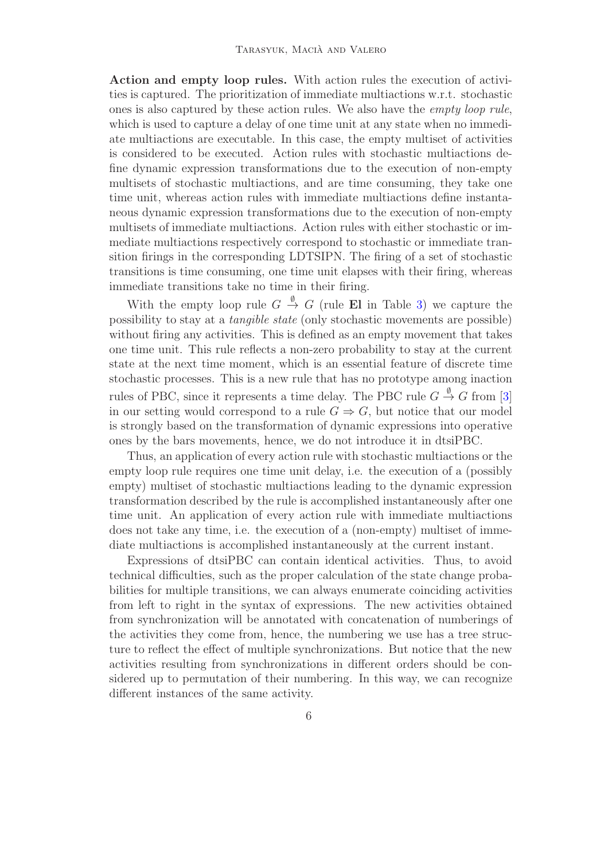Action and empty loop rules. With action rules the execution of activities is captured. The prioritization of immediate multiactions w.r.t. stochastic ones is also captured by these action rules. We also have the empty loop rule, which is used to capture a delay of one time unit at any state when no immediate multiactions are executable. In this case, the empty multiset of activities is considered to be executed. Action rules with stochastic multiactions define dynamic expression transformations due to the execution of non-empty multisets of stochastic multiactions, and are time consuming, they take one time unit, whereas action rules with immediate multiactions define instantaneous dynamic expression transformations due to the execution of non-empty multisets of immediate multiactions. Action rules with either stochastic or immediate multiactions respectively correspond to stochastic or immediate transition firings in the corresponding LDTSIPN. The firing of a set of stochastic transitions is time consuming, one time unit elapses with their firing, whereas immediate transitions take no time in their firing.

With the empty loop rule  $G \stackrel{\emptyset}{\rightarrow} G$  (rule El in Table [3\)](#page-7-0) we capture the possibility to stay at a tangible state (only stochastic movements are possible) without firing any activities. This is defined as an empty movement that takes one time unit. This rule reflects a non-zero probability to stay at the current state at the next time moment, which is an essential feature of discrete time stochastic processes. This is a new rule that has no prototype among inaction rules of PBC, since it represents a time delay. The PBC rule  $G \stackrel{\emptyset}{\to} G$  from [\[3\]](#page-20-11) in our setting would correspond to a rule  $G \Rightarrow G$ , but notice that our model is strongly based on the transformation of dynamic expressions into operative ones by the bars movements, hence, we do not introduce it in dtsiPBC.

Thus, an application of every action rule with stochastic multiactions or the empty loop rule requires one time unit delay, i.e. the execution of a (possibly empty) multiset of stochastic multiactions leading to the dynamic expression transformation described by the rule is accomplished instantaneously after one time unit. An application of every action rule with immediate multiactions does not take any time, i.e. the execution of a (non-empty) multiset of immediate multiactions is accomplished instantaneously at the current instant.

Expressions of dtsiPBC can contain identical activities. Thus, to avoid technical difficulties, such as the proper calculation of the state change probabilities for multiple transitions, we can always enumerate coinciding activities from left to right in the syntax of expressions. The new activities obtained from synchronization will be annotated with concatenation of numberings of the activities they come from, hence, the numbering we use has a tree structure to reflect the effect of multiple synchronizations. But notice that the new activities resulting from synchronizations in different orders should be considered up to permutation of their numbering. In this way, we can recognize different instances of the same activity.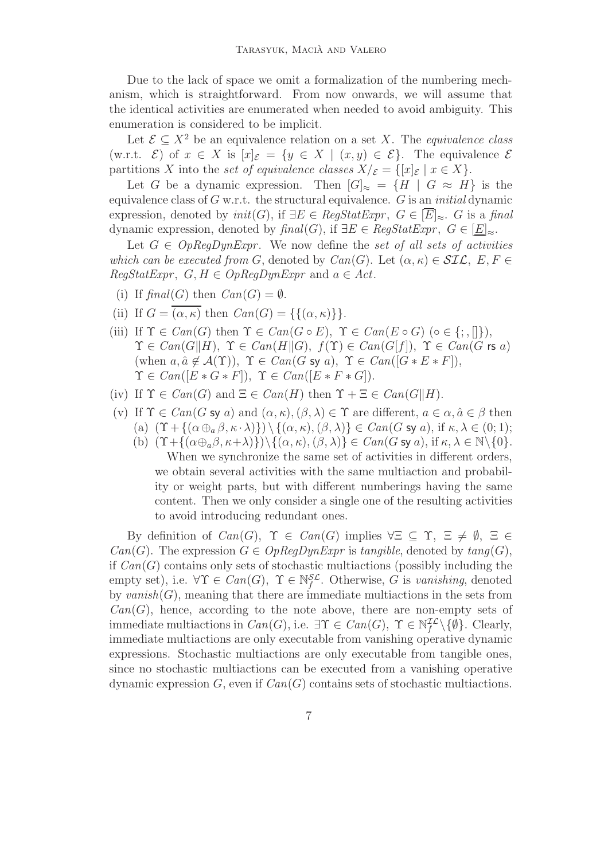Due to the lack of space we omit a formalization of the numbering mechanism, which is straightforward. From now onwards, we will assume that the identical activities are enumerated when needed to avoid ambiguity. This enumeration is considered to be implicit.

Let  $\mathcal{E} \subset X^2$  be an equivalence relation on a set X. The *equivalence class* (w.r.t.  $\mathcal{E}$ ) of  $x \in X$  is  $[x]_{\mathcal{E}} = \{y \in X \mid (x, y) \in \mathcal{E}\}\)$ . The equivalence  $\mathcal{E}$ partitions X into the set of equivalence classes  $X/\varepsilon = \{ [x]_{\varepsilon} \mid x \in X \}.$ 

Let G be a dynamic expression. Then  $|G|_{\approx} = \{H \mid G \approx H\}$  is the equivalence class of  $G$  w.r.t. the structural equivalence.  $G$  is an *initial* dynamic expression, denoted by  $init(G)$ , if  $\exists E \in \text{RegStatExpr}, G \in [\overline{E}]_{\approx}$ . G is a final dynamic expression, denoted by  $\text{final}(G)$ , if  $\exists E \in \text{RegStatExpr}, G \in [E]_{\approx}$ .

Let  $G \in OpRegDynExpr$ . We now define the set of all sets of activities which can be executed from G, denoted by  $Can(G)$ . Let  $(\alpha, \kappa) \in \mathcal{SIL}$ ,  $E, F \in$  $RegStatexpr, G, H \in OpReqDynExpr$  and  $a \in Act$ .

- (i) If  $\operatorname{final}(G)$  then  $\operatorname{Can}(G) = \emptyset$ .
- (ii) If  $G = \overline{(\alpha, \kappa)}$  then  $Can(G) = \{\{\alpha, \kappa)\}\}.$
- (iii) If  $\Upsilon \in Can(G)$  then  $\Upsilon \in Can(G \circ E)$ ,  $\Upsilon \in Can(E \circ G)$  ( $\circ \in \{\, ; , \lVert \}$ ),  $\Upsilon \in Can(G||H), \Upsilon \in Can(H||G), f(\Upsilon) \in Can(G[f]), \Upsilon \in Can(G \text{ rs } a)$ (when  $a, \hat{a} \notin \mathcal{A}(\Upsilon)$ ),  $\Upsilon \in \text{Can}(G \text{ sy } a)$ ,  $\Upsilon \in \text{Can}([G * E * F])$ ,  $\Upsilon \in Can([E * G * F]), \ \Upsilon \in Can([E * F * G]).$
- (iv) If  $\Upsilon \in Can(G)$  and  $\Xi \in Can(H)$  then  $\Upsilon + \Xi \in Can(G||H)$ .
- (v) If  $\Upsilon \in Can(G \text{ sy } a)$  and  $(\alpha, \kappa), (\beta, \lambda) \in \Upsilon$  are different,  $a \in \alpha, \hat{a} \in \beta$  then (a)  $(\Upsilon + \{(\alpha \oplus_{a} \beta, \kappa \cdot \lambda)\}) \setminus \{(\alpha, \kappa), (\beta, \lambda)\} \in Can(G \text{ sy } a), \text{ if } \kappa, \lambda \in (0, 1);$ 
	- (b)  $(\Upsilon + \{(\alpha \oplus_{a} \beta, \kappa + \lambda)\}) \setminus \{(\alpha, \kappa), (\beta, \lambda)\} \in Can(G \text{ sy } a), \text{ if } \kappa, \lambda \in \mathbb{N} \setminus \{0\}.$

When we synchronize the same set of activities in different orders, we obtain several activities with the same multiaction and probability or weight parts, but with different numberings having the same content. Then we only consider a single one of the resulting activities to avoid introducing redundant ones.

By definition of  $Can(G), \Upsilon \in Can(G)$  implies  $\forall \Xi \subseteq \Upsilon, \Xi \neq \emptyset, \Xi \in$  $Can(G)$ . The expression  $G \in OpRegDynExpr$  is tangible, denoted by  $tang(G)$ , if  $Can(G)$  contains only sets of stochastic multiactions (possibly including the empty set), i.e.  $\forall \Upsilon \in Can(G), \ \Upsilon \in \mathbb{N}^{\mathcal{SL}}_f$ . Otherwise, G is vanishing, denoted by vanish $(G)$ , meaning that there are immediate multiactions in the sets from  $Can(G)$ , hence, according to the note above, there are non-empty sets of immediate multiactions in  $Can(G)$ , i.e.  $\exists \Upsilon \in Can(G), \ \Upsilon \in \mathbb{N}_{f}^{\mathcal{IL}} \setminus \{\emptyset\}.$  Clearly, immediate multiactions are only executable from vanishing operative dynamic expressions. Stochastic multiactions are only executable from tangible ones, since no stochastic multiactions can be executed from a vanishing operative dynamic expression  $G$ , even if  $Can(G)$  contains sets of stochastic multiactions.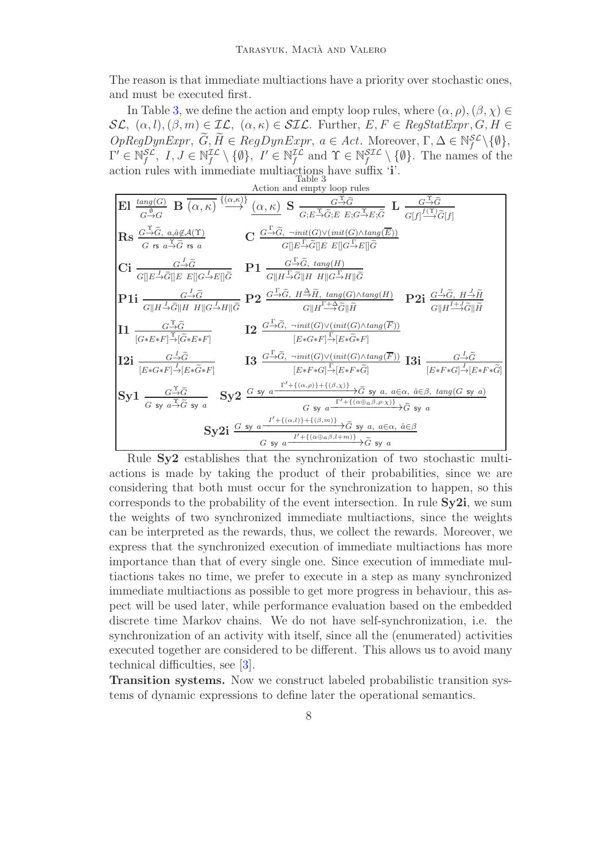The reason is that immediate multiactions have a priority over stochastic ones, and must be executed first.

In Table [3,](#page-7-0) we define the action and empty loop rules, where  $(\alpha, \rho), (\beta, \chi) \in$  $\mathcal{SL}, (\alpha, l), (\beta, m) \in \mathcal{IL}, (\alpha, \kappa) \in \mathcal{SIL}.$  Further,  $E, F \in \text{RegStatexpr}, G, H \in$  $OpRegDynExpr, \ \widetilde{G}, \widetilde{H} \in RegDynExpr, \ a \in Act. \ \ Moreover, \ \Gamma, \Delta \in \mathbb{N}_{f}^{\mathcal{SL}}\backslash\{\emptyset\},\$  $\Gamma' \in \mathbb{N}_f^{\mathcal{SL}}, \ I, J \in \mathbb{N}_f^{\mathcal{IL}} \setminus \{\emptyset\}, \ I' \in \mathbb{N}_f^{\mathcal{IL}} \text{ and } \Upsilon \in \mathbb{N}_f^{\mathcal{SL}} \setminus \{\emptyset\}.$  The names of the action rules with immediate multiactions have suffix 'i'.

<span id="page-7-0"></span>

| Action and empty loop rules |                                                                                           |                                                                                                                                                                                                                                                                                                                                                                                                                                                                              |
|-----------------------------|-------------------------------------------------------------------------------------------|------------------------------------------------------------------------------------------------------------------------------------------------------------------------------------------------------------------------------------------------------------------------------------------------------------------------------------------------------------------------------------------------------------------------------------------------------------------------------|
|                             |                                                                                           | $\text{El } \frac{\text{tang}(G)}{G \stackrel{\emptyset}{\to} G} \text{ B } \overline{(\alpha, \kappa)} \stackrel{\{(\alpha, \kappa)\}}{\longrightarrow} \underline{(\alpha, \kappa)} \text{ S } \frac{G \stackrel{\Upsilon}{\to} \widetilde{G}}{G: E \stackrel{\Upsilon}{\to} \widetilde{G}: E: G \stackrel{\Upsilon}{\to} E: \widetilde{G}} \text{ L } \frac{G \stackrel{\Upsilon}{\to} \widetilde{G}}{G: f! \stackrel{f(\Upsilon)}{\to} \widetilde{G}: f!}$               |
|                             |                                                                                           | <b>Rs</b> $\frac{G^{\frac{\gamma}{2}}\tilde{G}, a, \hat{a}\notin\mathcal{A}(\Upsilon)}{G \text{ is } a^{\frac{\gamma}{2}}\tilde{G} \text{ is } a}$ <b>C</b> $\frac{G^{\frac{\Gamma}{2}}\tilde{G}, \neg init(G)\vee(int(G)\wedge tang(\overline{E}))}{G\parallel E^{\frac{\Gamma}{2}}\tilde{G}\parallel E\parallel G^{\frac{\Gamma}{2}}E\parallel \tilde{G}}$                                                                                                                 |
|                             |                                                                                           | $\operatorname{Ci} \frac{G \stackrel{\perp}{\to} \widetilde{G}}{G \parallel E \stackrel{\perp}{\to} \widetilde{G} \parallel E} \frac{F \stackrel{\perp}{\to} \widetilde{G}}{E \parallel G \stackrel{\perp}{\to} E \parallel \widetilde{G}} \quad \operatorname{P1} \frac{G \stackrel{\perp}{\to} \widetilde{G}, \; \text{tang}(H)}{G \parallel H \stackrel{\perp}{\to} \widetilde{G} \parallel H} \; \text{H} \parallel G \stackrel{\Gamma}{\to} H \parallel \widetilde{G}}$ |
|                             |                                                                                           | ${\bf P1i} \xrightarrow[G  H \to \widetilde{G}  H \ H   G \to H    \widetilde{G}]\ {\rm P2} \xrightarrow[G  H] \widetilde{G},\ H \to \widetilde{H},\ \mathit{tang}(G) \wedge \mathit{tang}(H)\ {\rm P2i} \xrightarrow[G  H \to \widetilde{G}] \widetilde{H} \xrightarrow[G  H \to \widetilde{G}] \widetilde{H}$                                                                                                                                                              |
|                             | $\text{I1}$ $\frac{G \rightarrow \widetilde{G}}{[G*E*F] \rightarrow [\widetilde{G}*E*F]}$ | $\textbf{I2} \xrightarrow{G \rightarrow \widetilde{G}, \ \neg init(G) \vee (init(G) \wedge tang(\overline{F}))} \text{[}E * G * F \vert \negthickspace \negthickspace \overline{\neg} \vert E * \widetilde{G} * F \vert \negthickspace \negthickspace \negthickspace$                                                                                                                                                                                                        |
|                             |                                                                                           | <b>12i</b> $\frac{G-\widetilde{G}}{[E*G*F]-E*\widetilde{G}*F]}$ <b>13</b> $\frac{G-\widetilde{G}, \ \ -init(G)\vee(int(G)\wedge tang(\overline{F}))}{[E*F*G]-E*F*\widetilde{G}]}$ <b>13i</b> $\frac{G-\widetilde{G}}{[E*F*G]-E*F*\widetilde{G}]}$                                                                                                                                                                                                                            |
|                             |                                                                                           | $Syl \frac{G^{\gamma} \widetilde{G}}{G \text{ sy } a^{\gamma} \widetilde{G} \text{ sy } a}$ $Syl^2 \frac{G \text{ sy } a^{\frac{\Gamma'+\{(\alpha,\rho)\}+\{(\beta,\chi)\}}{\Gamma'+\{(\alpha\oplus a^{\beta},\rho\cdot\chi)\}}}}{G \text{ sy } a}$ , $a \in \alpha$ , $\hat{a} \in \beta$ , $tang(G \text{ sy } a)$<br>$G \text{ sy } a$                                                                                                                                    |
|                             |                                                                                           | Sy2i $\frac{G \text{ sy } a\frac{I'+\{(\alpha,l)\}+\{(\beta,m)\}}{G \text{ sy } n} \times \tilde{G} \text{ sy } a, a \in \alpha, \hat{a} \in \beta}{G \text{ sy } a\frac{I'+\{(\alpha \oplus a\beta,l+m)\}}{G \text{ sy } n} \times \tilde{G} \text{ sy } a}$                                                                                                                                                                                                                |

Rule Sy2 establishes that the synchronization of two stochastic multiactions is made by taking the product of their probabilities, since we are considering that both must occur for the synchronization to happen, so this corresponds to the probability of the event intersection. In rule  $Syzi$ , we sum the weights of two synchronized immediate multiactions, since the weights can be interpreted as the rewards, thus, we collect the rewards. Moreover, we express that the synchronized execution of immediate multiactions has more importance than that of every single one. Since execution of immediate multiactions takes no time, we prefer to execute in a step as many synchronized immediate multiactions as possible to get more progress in behaviour, this aspect will be used later, while performance evaluation based on the embedded discrete time Markov chains. We do not have self-synchronization, i.e. the synchronization of an activity with itself, since all the (enumerated) activities executed together are considered to be different. This allows us to avoid many technical difficulties, see [\[3\]](#page-20-11).

Transition systems. Now we construct labeled probabilistic transition systems of dynamic expressions to define later the operational semantics.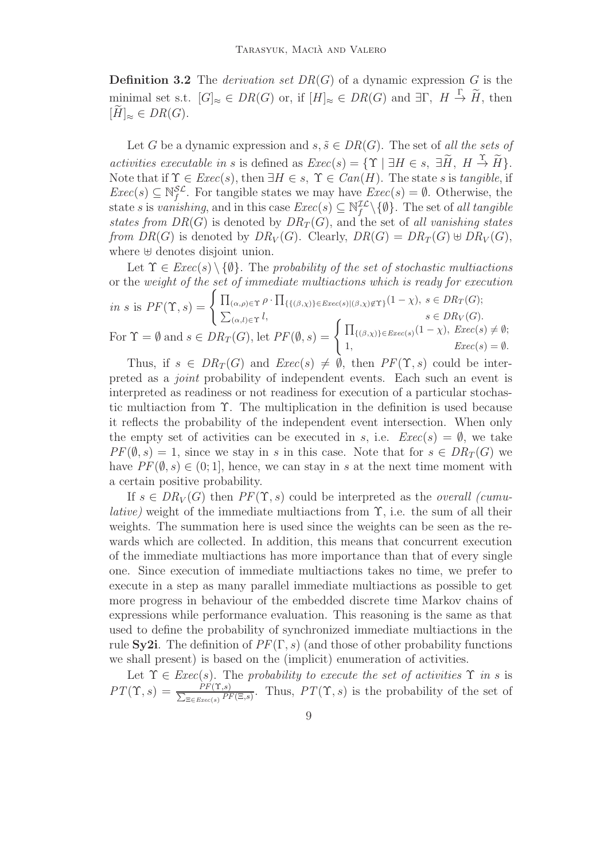**Definition 3.2** The *derivation set*  $DR(G)$  of a dynamic expression G is the minimal set s.t.  $[G]_{\approx} \in DR(G)$  or, if  $[H]_{\approx} \in DR(G)$  and  $\exists \Gamma, H \stackrel{\Gamma}{\to} \widetilde{H}$ , then  $[H]_{\approx} \in DR(G).$ 

Let G be a dynamic expression and  $s, \tilde{s} \in DR(G)$ . The set of all the sets of activities executable in s is defined as  $Exec(s) = \{ \Upsilon \mid \exists H \in s, \exists \widetilde{H}, H \stackrel{\Upsilon}{\to} \widetilde{H} \}.$ Note that if  $\Upsilon \in \mathit{Exec}(s)$ , then  $\exists H \in s$ ,  $\Upsilon \in \mathit{Can}(H)$ . The state s is tangible, if  $Exec(s) \subseteq \mathbb{N}_{f}^{\mathcal{SL}}$ . For tangible states we may have  $Exec(s) = \emptyset$ . Otherwise, the state s is vanishing, and in this case  $Exec(s) \subseteq \mathbb{N}_f^{\mathcal{IL}} \setminus \{\emptyset\}$ . The set of all tangible states from  $DR(G)$  is denoted by  $DR_T(G)$ , and the set of all vanishing states from  $DR(G)$  is denoted by  $DR_V(G)$ . Clearly,  $DR(G) = DR_T(G) \oplus DR_V(G)$ , where ⊎ denotes disjoint union.

Let  $\Upsilon \in \text{Exec}(s) \setminus \{\emptyset\}$ . The probability of the set of stochastic multiactions or the weight of the set of immediate multiactions which is ready for execution in s is  $PF(\Upsilon, s) = \begin{cases} \prod_{(\alpha, \rho) \in \Upsilon} \rho \cdot \prod_{\{(\beta, \chi)\} \in \text{Exec}(s) | (\beta, \chi) \notin \Upsilon\}} (1 - \chi), s \in \text{DR}_T(G); \end{cases}$ For  $\Upsilon = \emptyset$  and  $s \in DR_T(G)$ , let  $PF(\emptyset, s) = \begin{cases} \prod_{\{(\beta,\chi)\}\in\text{Exec}(s)} (1-\chi), \text{Exec}(s) \neq \emptyset; \\ \prod_{\{(\beta,\chi)\}\in\text{Exec}(s)} (1-\chi), \text{Exec}(s) \neq \emptyset; \end{cases}$ 1,  $Exec(s) = \emptyset$ .

Thus, if  $s \in DR_T(G)$  and  $Exec(s) \neq \emptyset$ , then  $PF(\Upsilon, s)$  could be interpreted as a joint probability of independent events. Each such an event is interpreted as readiness or not readiness for execution of a particular stochastic multiaction from Υ. The multiplication in the definition is used because it reflects the probability of the independent event intersection. When only the empty set of activities can be executed in s, i.e.  $Exec(s) = \emptyset$ , we take  $PF(\emptyset, s) = 1$ , since we stay in s in this case. Note that for  $s \in DR_T(G)$  we have  $PF(\emptyset, s) \in (0, 1]$ , hence, we can stay in s at the next time moment with a certain positive probability.

If  $s \in DR_V(G)$  then  $PF(\Upsilon, s)$  could be interpreted as the *overall (cumulative*) weight of the immediate multiactions from  $\Upsilon$ , i.e. the sum of all their weights. The summation here is used since the weights can be seen as the rewards which are collected. In addition, this means that concurrent execution of the immediate multiactions has more importance than that of every single one. Since execution of immediate multiactions takes no time, we prefer to execute in a step as many parallel immediate multiactions as possible to get more progress in behaviour of the embedded discrete time Markov chains of expressions while performance evaluation. This reasoning is the same as that used to define the probability of synchronized immediate multiactions in the rule **Sy2i**. The definition of  $PF(\Gamma, s)$  (and those of other probability functions we shall present) is based on the (implicit) enumeration of activities.

Let  $\Upsilon \in \text{Exec}(s)$ . The probability to execute the set of activities  $\Upsilon$  in s is  $PT(\Upsilon, s) = \frac{PF(\Upsilon, s)}{\sum_{\square \subset \square \subset \square} PI}$  $\frac{Pr(\mathbf{1},s)}{PF(\Xi,s)}$ . Thus,  $PT(\Upsilon,s)$  is the probability of the set of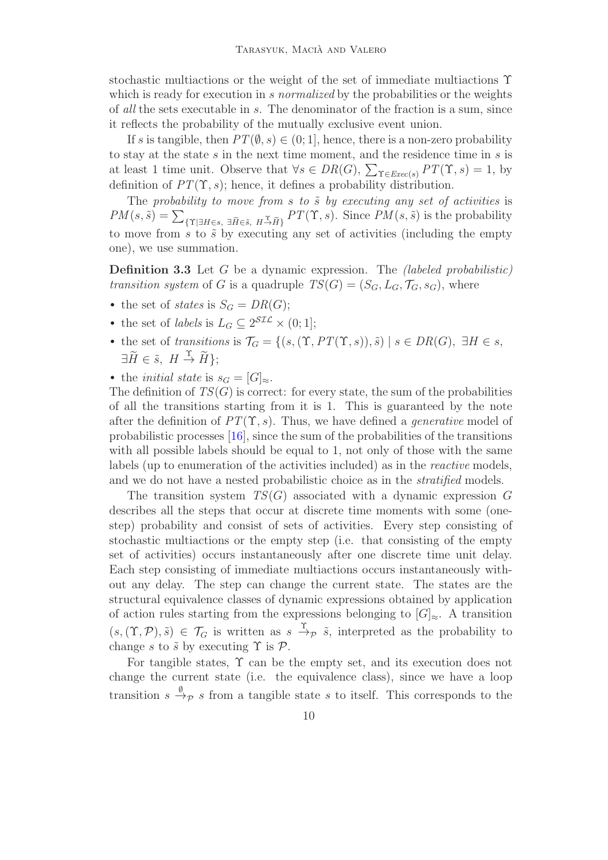stochastic multiactions or the weight of the set of immediate multiactions Υ which is ready for execution in s normalized by the probabilities or the weights of all the sets executable in s. The denominator of the fraction is a sum, since it reflects the probability of the mutually exclusive event union.

If s is tangible, then  $PT(\emptyset, s) \in (0, 1]$ , hence, there is a non-zero probability to stay at the state  $s$  in the next time moment, and the residence time in  $s$  is at least 1 time unit. Observe that  $\forall s \in DR(G), \sum_{\Upsilon \in \text{Exec}(s)} PT(\Upsilon, s) = 1$ , by definition of  $PT(\Upsilon, s)$ ; hence, it defines a probability distribution.

The probability to move from  $s$  to  $\tilde{s}$  by executing any set of activities is  $PM(s, \tilde{s}) = \sum_{\{\Upsilon \mid \exists H \in s, \ \exists \tilde{H} \in \tilde{s}, \ H \to \tilde{H}\}} PT(\Upsilon, s)$ . Since  $PM(s, \tilde{s})$  is the probability to move from  $\dot{s}$  to  $\ddot{s}$  by executing any set of activities (including the empty one), we use summation.

**Definition 3.3** Let G be a dynamic expression. The *(labeled probabilistic)* transition system of G is a quadruple  $TS(G) = (S_G, L_G, \mathcal{T}_G, s_G)$ , where

- the set of *states* is  $S_G = DR(G);$
- the set of *labels* is  $L_G \subseteq 2^{STL} \times (0, 1];$
- the set of transitions is  $\mathcal{T}_G = \{(s, (\Upsilon, PT(\Upsilon, s)), \tilde{s}) \mid s \in DR(G), \exists H \in s,$  $\exists \widetilde{H} \in \widetilde{s}, H \stackrel{\Upsilon}{\rightarrow} \widetilde{H} \};$
- the *initial state* is  $s_G = [G]_{\approx}$ .

The definition of  $TS(G)$  is correct: for every state, the sum of the probabilities of all the transitions starting from it is 1. This is guaranteed by the note after the definition of  $PT(\Upsilon, s)$ . Thus, we have defined a *generative* model of probabilistic processes [\[16\]](#page-20-12), since the sum of the probabilities of the transitions with all possible labels should be equal to 1, not only of those with the same labels (up to enumeration of the activities included) as in the *reactive* models, and we do not have a nested probabilistic choice as in the *stratified* models.

The transition system  $TS(G)$  associated with a dynamic expression G describes all the steps that occur at discrete time moments with some (onestep) probability and consist of sets of activities. Every step consisting of stochastic multiactions or the empty step (i.e. that consisting of the empty set of activities) occurs instantaneously after one discrete time unit delay. Each step consisting of immediate multiactions occurs instantaneously without any delay. The step can change the current state. The states are the structural equivalence classes of dynamic expressions obtained by application of action rules starting from the expressions belonging to  $[G]_{\approx}$ . A transition  $(s,(\Upsilon,\mathcal{P}),\tilde{s})\in\mathcal{T}_G$  is written as  $s\stackrel{\Upsilon}{\to}_{\mathcal{P}}\tilde{s}$ , interpreted as the probability to change s to  $\tilde{s}$  by executing  $\Upsilon$  is  $\mathcal{P}$ .

For tangible states, Υ can be the empty set, and its execution does not change the current state (i.e. the equivalence class), since we have a loop transition  $s \stackrel{\emptyset}{\rightarrow}_{\mathcal{P}} s$  from a tangible state s to itself. This corresponds to the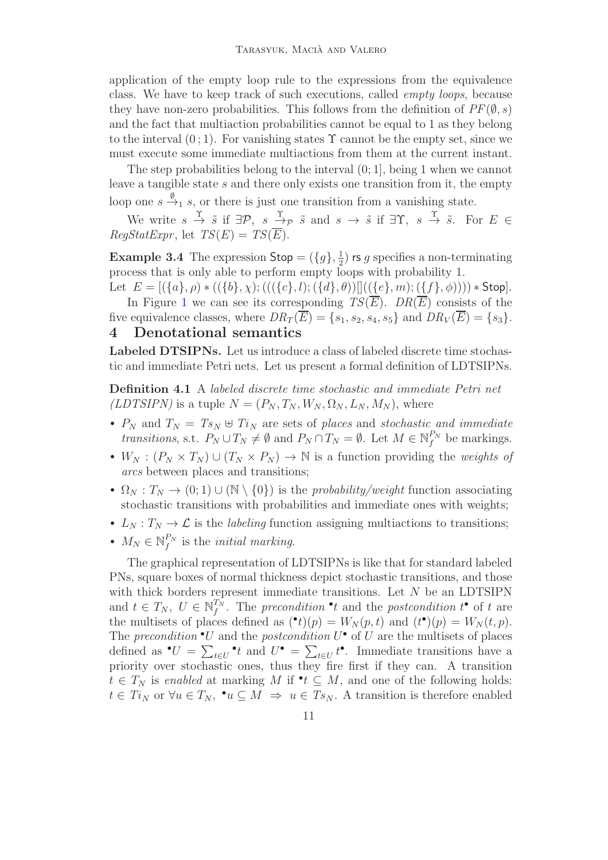application of the empty loop rule to the expressions from the equivalence class. We have to keep track of such executions, called empty loops, because they have non-zero probabilities. This follows from the definition of  $PF(\emptyset, s)$ and the fact that multiaction probabilities cannot be equal to 1 as they belong to the interval  $(0, 1)$ . For vanishing states  $\Upsilon$  cannot be the empty set, since we must execute some immediate multiactions from them at the current instant.

The step probabilities belong to the interval (0; 1], being 1 when we cannot leave a tangible state  $s$  and there only exists one transition from it, the empty loop one  $s \xrightarrow{\emptyset} s$ , or there is just one transition from a vanishing state.

We write  $s \stackrel{\Upsilon}{\rightarrow} \tilde{s}$  if  $\exists \mathcal{P}, s \stackrel{\Upsilon}{\rightarrow} \tilde{s}$  and  $s \rightarrow \tilde{s}$  if  $\exists \Upsilon, s \stackrel{\Upsilon}{\rightarrow} \tilde{s}$ . For  $E \in$  $RegStatexpr$ , let  $TS(E) = TS(\overline{E}).$ 

<span id="page-10-1"></span>**Example 3.4** The expression  $\mathsf{Stop} = (\{g\}, \frac{1}{2})$  $\frac{1}{2}$ ) rs g specifies a non-terminating process that is only able to perform empty loops with probability 1.

Let  $E = [(\{a\}, \rho) * ((\{b\}, \chi); (((\{c\}, l); (\{d\}, \theta))]((\{e\}, m); (\{f\}, \phi)))) * Stop].$ In Figure [1](#page-15-0) we can see its corresponding  $TS(\overline{E})$ .  $DR(\overline{E})$  consists of the five equivalence classes, where  $DR_T(\overline{E}) = \{s_1, s_2, s_4, s_5\}$  and  $DR_V(\overline{E}) = \{s_3\}.$ 

# <span id="page-10-0"></span>4 Denotational semantics

Labeled DTSIPNs. Let us introduce a class of labeled discrete time stochastic and immediate Petri nets. Let us present a formal definition of LDTSIPNs.

Definition 4.1 A labeled discrete time stochastic and immediate Petri net  $(LDTSIPN)$  is a tuple  $N = (P_N, T_N, W_N, \Omega_N, L_N, M_N)$ , where

- $P_N$  and  $T_N = T_s_N \oplus T_i_N$  are sets of places and stochastic and immediate transitions, s.t.  $P_N \cup T_N \neq \emptyset$  and  $P_N \cap T_N = \emptyset$ . Let  $M \in \mathbb{N}_f^{P_N}$  $f^{\scriptscriptstyle P_N}$  be markings.
- $W_N : (P_N \times T_N) \cup (T_N \times P_N) \to \mathbb{N}$  is a function providing the weights of arcs between places and transitions;
- $\Omega_N : T_N \to (0, 1) \cup (N \setminus \{0\})$  is the probability/weight function associating stochastic transitions with probabilities and immediate ones with weights;
- $L_N: T_N \to \mathcal{L}$  is the *labeling* function assigning multiactions to transitions;
- $M_N \in \mathbb{N}_f^{P_N}$  is the *initial marking*.

The graphical representation of LDTSIPNs is like that for standard labeled PNs, square boxes of normal thickness depict stochastic transitions, and those with thick borders represent immediate transitions. Let  $N$  be an LDTSIPN and  $t \in T_N$ ,  $U \in \mathbb{N}_{f}^{T_N}$ . The precondition <sup>•</sup>t and the postcondition t<sup>•</sup> of t are the multisets of places defined as  $(\bullet t)(p) = W_N(p, t)$  and  $(t^{\bullet})(p) = W_N(t, p)$ . The precondition  $\mathbf{U}$  and the postcondition  $U^{\bullet}$  of U are the multisets of places defined as  $\bullet U = \sum_{t \in U} \bullet t$  and  $U \bullet = \sum_{t \in U} t \bullet$ . Immediate transitions have a priority over stochastic ones, thus they fire first if they can. A transition  $t \in T_N$  is enabled at marking M if  $\mathbf{t} \subseteq M$ , and one of the following holds:  $t \in Ti_N$  or  $\forall u \in T_N$ ,  $\cdot u \subseteq M \Rightarrow u \in Ts_N$ . A transition is therefore enabled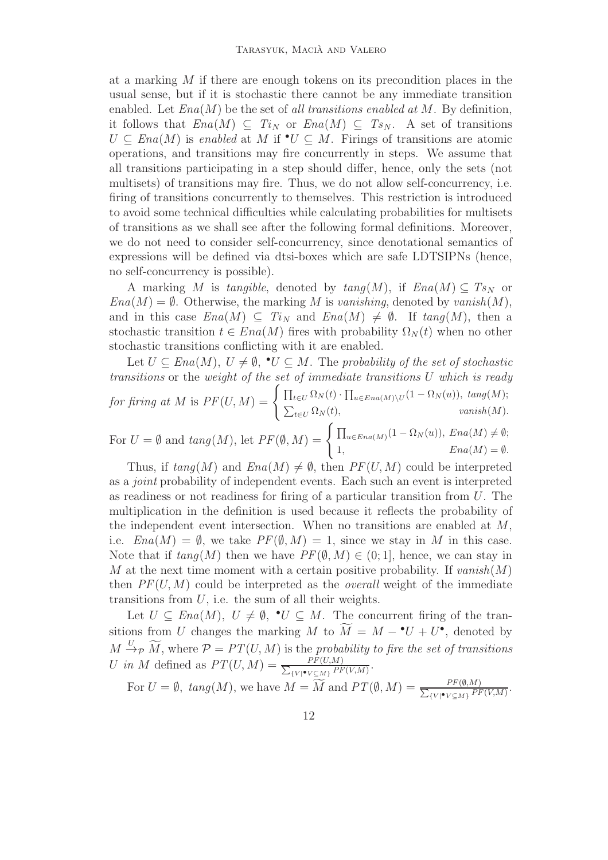at a marking M if there are enough tokens on its precondition places in the usual sense, but if it is stochastic there cannot be any immediate transition enabled. Let  $Ena(M)$  be the set of all transitions enabled at M. By definition, it follows that  $Ena(M) \subseteq Ti_N$  or  $Ena(M) \subseteq Ts_N$ . A set of transitions  $U \subseteq \text{Ena}(M)$  is enabled at M if  $\mathbf{U} \subseteq M$ . Firings of transitions are atomic operations, and transitions may fire concurrently in steps. We assume that all transitions participating in a step should differ, hence, only the sets (not multisets) of transitions may fire. Thus, we do not allow self-concurrency, i.e. firing of transitions concurrently to themselves. This restriction is introduced to avoid some technical difficulties while calculating probabilities for multisets of transitions as we shall see after the following formal definitions. Moreover, we do not need to consider self-concurrency, since denotational semantics of expressions will be defined via dtsi-boxes which are safe LDTSIPNs (hence, no self-concurrency is possible).

A marking M is tangible, denoted by  $tang(M)$ , if  $Ena(M) \subseteq Ts_N$  or  $Ena(M) = \emptyset$ . Otherwise, the marking M is vanishing, denoted by vanish $(M)$ , and in this case  $Ena(M) \subseteq Ti_N$  and  $Ena(M) \neq \emptyset$ . If  $tang(M)$ , then a stochastic transition  $t \in Ena(M)$  fires with probability  $\Omega_N(t)$  when no other stochastic transitions conflicting with it are enabled.

Let  $U \subseteq Ena(M), U \neq \emptyset$ ,  $\bullet U \subseteq M$ . The probability of the set of stochastic transitions or the weight of the set of immediate transitions U which is ready

for firing at M is 
$$
PF(U, M) = \begin{cases} \prod_{t \in U} \Omega_N(t) \cdot \prod_{u \in Ena(M) \setminus U} (1 - \Omega_N(u)), \, \text{tang}(M); \\ \sum_{t \in U} \Omega_N(t), \, \text{vanish}(M). \end{cases}
$$

For 
$$
U = \emptyset
$$
 and  $tang(M)$ , let  $PF(\emptyset, M) = \begin{cases} \prod_{u \in Ena(M)} (1 - \Omega_N(u)), Ena(M) \neq \emptyset; \\ 1, Ena(M) = \emptyset. \end{cases}$ 

Thus, if  $tang(M)$  and  $Ena(M) \neq \emptyset$ , then  $PF(U, M)$  could be interpreted as a joint probability of independent events. Each such an event is interpreted as readiness or not readiness for firing of a particular transition from U. The multiplication in the definition is used because it reflects the probability of the independent event intersection. When no transitions are enabled at  $M$ , i.e.  $Ena(M) = \emptyset$ , we take  $PF(\emptyset, M) = 1$ , since we stay in M in this case. Note that if  $tan q(M)$  then we have  $PF(\emptyset, M) \in (0, 1]$ , hence, we can stay in M at the next time moment with a certain positive probability. If  $vanish(M)$ then  $PF(U, M)$  could be interpreted as the *overall* weight of the immediate transitions from  $U$ , i.e. the sum of all their weights.

Let  $U \subseteq \text{Ena}(M)$ ,  $U \neq \emptyset$ ,  $\bullet U \subseteq M$ . The concurrent firing of the transitions from U changes the marking M to  $M = M - \bullet U + U^{\bullet}$ , denoted by  $M \stackrel{U}{\rightarrow} p \widetilde{M}$ , where  $P = PT(U, M)$  is the probability to fire the set of transitions U in M defined as  $PT(U, M) = \frac{PF(U, M)}{\sum_{S} P(E)}$  $\frac{PF(U,M)}{W\vert \mathbf{V} \subseteq M\} \frac{PF(V,M)}{FW}$ .

For  $U = \emptyset$ ,  $tang(M)$ , we have  $M = \widetilde{M}$  and  $PT(\emptyset, M) = \frac{PF(\emptyset, M)}{\sum_{\{V \in \mathcal{W} \mid V \subseteq M\}} PF(\emptyset, M)}$  $\frac{PF(\Psi, M)}{W[\mathbf{P}V \subseteq M]} \frac{PF(V, M)}{PF(V, M)}$ .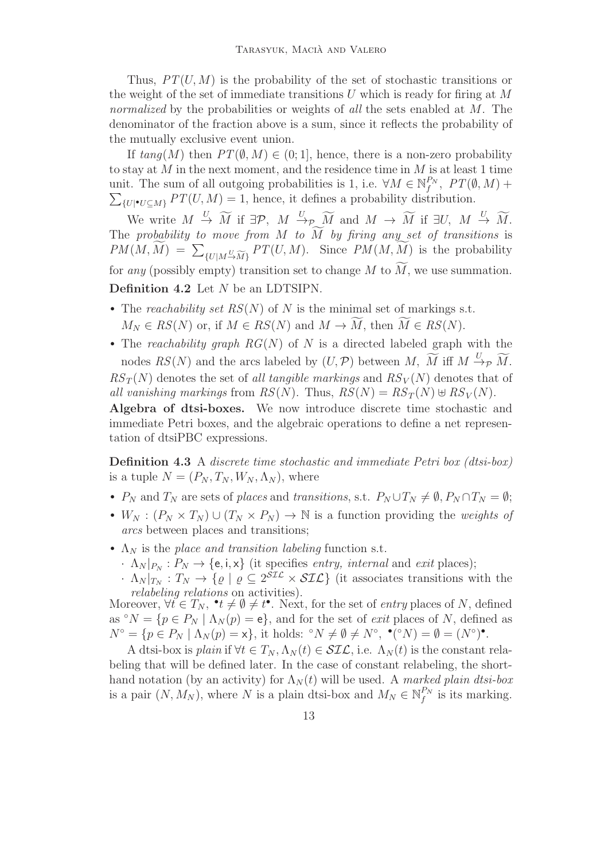Thus,  $PT(U, M)$  is the probability of the set of stochastic transitions or the weight of the set of immediate transitions  $U$  which is ready for firing at  $M$ normalized by the probabilities or weights of all the sets enabled at M. The denominator of the fraction above is a sum, since it reflects the probability of the mutually exclusive event union.

If  $tan q(M)$  then  $PT(\emptyset, M) \in (0, 1]$ , hence, there is a non-zero probability to stay at  $M$  in the next moment, and the residence time in  $M$  is at least 1 time unit. The sum of all outgoing probabilities is 1, i.e.  $\forall M \in \mathbb{N}_f^{P_N}$ ,  $PT(\emptyset, M) + \sum_{\{U | \bullet U \subseteq M\}} PT(U, M) = 1$ , hence, it defines a probability distribution.

We write  $M \stackrel{U}{\rightarrow} \widetilde{M}$  if  $\exists \mathcal{P}, M \stackrel{U}{\rightarrow}_{\mathcal{P}} \widetilde{M}$  and  $M \rightarrow \widetilde{M}$  if  $\exists U, M \stackrel{U}{\rightarrow} \widetilde{M}$ . The probability to move from M to  $\widetilde{M}$  by firing any set of transitions is  $PM(M, \widetilde{M}) = \sum_{\{U | M \stackrel{U}{\rightarrow} \widetilde{M}\}} PT(U, M)$ . Since  $PM(M, \widetilde{M})$  is the probability for any (possibly empty) transition set to change  $M$  to  $M$ , we use summation. Definition 4.2 Let N be an LDTSIPN.

- The reachability set  $RS(N)$  of N is the minimal set of markings s.t.  $M_N \in RS(N)$  or, if  $M \in RS(N)$  and  $M \to M$ , then  $M \in RS(N)$ .
- The reachability graph  $RG(N)$  of N is a directed labeled graph with the nodes  $RS(N)$  and the arcs labeled by  $(U, \mathcal{P})$  between  $M$ ,  $\widetilde{M}$  iff  $M \xrightarrow{U} \widetilde{M}$ .  $RS_T(N)$  denotes the set of all tangible markings and  $RS_V(N)$  denotes that of

all vanishing markings from  $RS(N)$ . Thus,  $RS(N) = RS_T(N) \oplus RS_V(N)$ . Algebra of dtsi-boxes. We now introduce discrete time stochastic and immediate Petri boxes, and the algebraic operations to define a net representation of dtsiPBC expressions.

Definition 4.3 A discrete time stochastic and immediate Petri box (dtsi-box) is a tuple  $N = (P_N, T_N, W_N, \Lambda_N)$ , where

- $P_N$  and  $T_N$  are sets of places and transitions, s.t.  $P_N \cup T_N \neq \emptyset$ ,  $P_N \cap T_N = \emptyset$ ;
- $W_N : (P_N \times T_N) \cup (T_N \times P_N) \to \mathbb{N}$  is a function providing the *weights of* arcs between places and transitions;
- $\Lambda_N$  is the place and transition labeling function s.t.
	- $\cdot \Lambda_N|_{P_N}: P_N \to \{e, i, x\}$  (it specifies entry, internal and exit places);
	- $\cdot \Lambda_N|_{T_N}: T_N \to {\varrho} \subset 2^{\mathcal{SIL}} \times \mathcal{SIL}$  (it associates transitions with the relabeling relations on activities).

Moreover,  $\forall t \in T_N$ ,  $\bullet t \neq \emptyset \neq t^{\bullet}$ . Next, for the set of *entry* places of N, defined as  $\mathcal{O}N = \{p \in P_N \mid \Lambda_N(p) = e\}$ , and for the set of *exit* places of N, defined as  $N^{\circ} = \{p \in P_N \mid \Lambda_N(p) = x\},\$ it holds:  $\mathcal{N} \neq \emptyset \neq N^{\circ}, \bullet(\mathcal{N}) = \emptyset = (N^{\circ})^{\bullet}.$ 

A dtsi-box is plain if  $\forall t \in T_N, \Lambda_N(t) \in \mathcal{SIL}$ , i.e.  $\Lambda_N(t)$  is the constant relabeling that will be defined later. In the case of constant relabeling, the shorthand notation (by an activity) for  $\Lambda_N(t)$  will be used. A marked plain dtsi-box is a pair  $(N, M_N)$ , where N is a plain dtsi-box and  $M_N \in \mathbb{N}_f^{P_N}$  is its marking.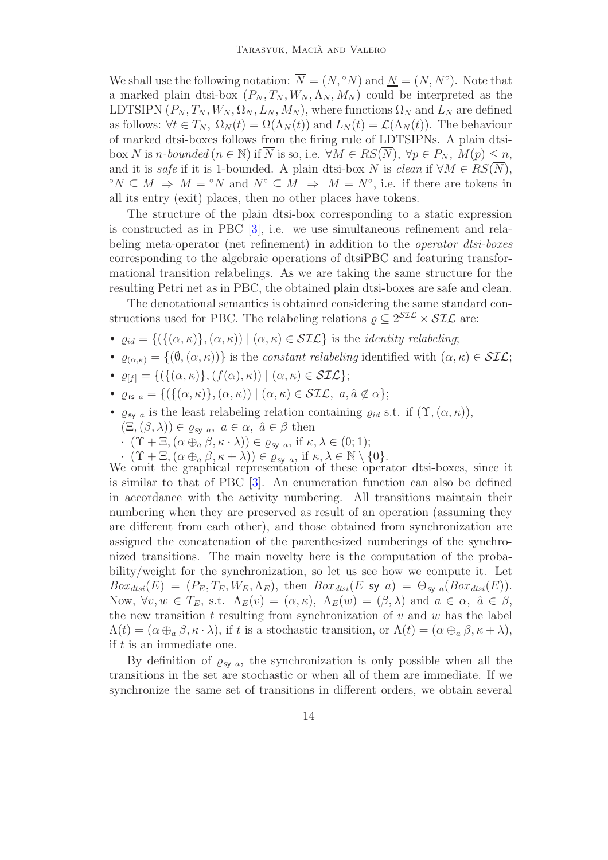We shall use the following notation:  $\overline{N} = (N, \degree N)$  and  $\underline{N} = (N, N^{\degree})$ . Note that a marked plain dtsi-box  $(P_N, T_N, W_N, \Lambda_N, M_N)$  could be interpreted as the LDTSIPN  $(P_N, T_N, W_N, \Omega_N, L_N, M_N)$ , where functions  $\Omega_N$  and  $L_N$  are defined as follows:  $\forall t \in T_N$ ,  $\Omega_N(t) = \Omega(\Lambda_N(t))$  and  $L_N(t) = \mathcal{L}(\Lambda_N(t))$ . The behaviour of marked dtsi-boxes follows from the firing rule of LDTSIPNs. A plain dtsibox N is n-bounded  $(n \in \mathbb{N})$  if  $\overline{N}$  is so, i.e.  $\forall M \in RS(\overline{N})$ ,  $\forall p \in P_N$ ,  $M(p) \leq n$ , and it is safe if it is 1-bounded. A plain dtsi-box N is clean if  $\forall M \in RS(\overline{N}),$ ° $N \subseteq M \Rightarrow M =$ °N and  $N$ °  $\subseteq M \Rightarrow M = N$ °, i.e. if there are tokens in all its entry (exit) places, then no other places have tokens.

The structure of the plain dtsi-box corresponding to a static expression is constructed as in PBC [\[3\]](#page-20-11), i.e. we use simultaneous refinement and relabeling meta-operator (net refinement) in addition to the *operator dtsi-boxes* corresponding to the algebraic operations of dtsiPBC and featuring transformational transition relabelings. As we are taking the same structure for the resulting Petri net as in PBC, the obtained plain dtsi-boxes are safe and clean.

The denotational semantics is obtained considering the same standard constructions used for PBC. The relabeling relations  $\rho \subseteq 2^{STL} \times STL$  are:

- $\varrho_{id} = \{(\{(\alpha, \kappa)\}, (\alpha, \kappa)) \mid (\alpha, \kappa) \in \mathcal{SIL}\}\$ is the *identity relabeling*;
- $\varrho_{(\alpha,\kappa)} = \{(\emptyset,(\alpha,\kappa))\}$  is the *constant relabeling* identified with  $(\alpha,\kappa) \in \mathcal{SIL}$ ;
- $\rho_{[f]} = \{(\{(\alpha,\kappa)\},(f(\alpha),\kappa)) \mid (\alpha,\kappa) \in \mathcal{SIL}\};$
- $\varrho_{rs a} = \{ (\{ (\alpha, \kappa) \}, (\alpha, \kappa)) \mid (\alpha, \kappa) \in \mathcal{SIL}, a, \hat{a} \notin \alpha \};$
- $\varrho_{\text{sy } a}$  is the least relabeling relation containing  $\varrho_{id}$  s.t. if  $(\Upsilon, (\alpha, \kappa))$ ,  $(\Xi,(\beta,\lambda)) \in \varrho_{\text{sy }a}, a \in \alpha, \hat{a} \in \beta \text{ then}$ 
	- $\cdot$   $(\Upsilon + \Xi, (\alpha \oplus_{a} \beta, \kappa \cdot \lambda)) \in \varrho_{\text{sv } a}$ , if  $\kappa, \lambda \in (0, 1);$
	- $\cdot$   $(\Upsilon + \Xi, (\alpha \oplus_{a} \beta, \kappa + \lambda)) \in \varrho_{sy}$  a, if  $\kappa, \lambda \in \mathbb{N} \setminus \{0\}.$

We omit the graphical representation of these operator dtsi-boxes, since it is similar to that of PBC [\[3\]](#page-20-11). An enumeration function can also be defined in accordance with the activity numbering. All transitions maintain their numbering when they are preserved as result of an operation (assuming they are different from each other), and those obtained from synchronization are assigned the concatenation of the parenthesized numberings of the synchronized transitions. The main novelty here is the computation of the probability/weight for the synchronization, so let us see how we compute it. Let  $Box_{dtsi}(E) = (P_E, T_E, W_E, \Lambda_E)$ , then  $Box_{dtsi}(E \text{ sy } a) = \Theta_{\text{sy } a}(Box_{dtsi}(E)).$ Now,  $\forall v, w \in T_E$ , s.t.  $\Lambda_E(v) = (\alpha, \kappa), \Lambda_E(w) = (\beta, \lambda)$  and  $a \in \alpha, \hat{a} \in \beta$ , the new transition t resulting from synchronization of  $v$  and  $w$  has the label  $\Lambda(t) = (\alpha \oplus_{a} \beta, \kappa \cdot \lambda)$ , if t is a stochastic transition, or  $\Lambda(t) = (\alpha \oplus_{a} \beta, \kappa + \lambda)$ , if  $t$  is an immediate one.

By definition of  $\varrho_{sy}$ , the synchronization is only possible when all the transitions in the set are stochastic or when all of them are immediate. If we synchronize the same set of transitions in different orders, we obtain several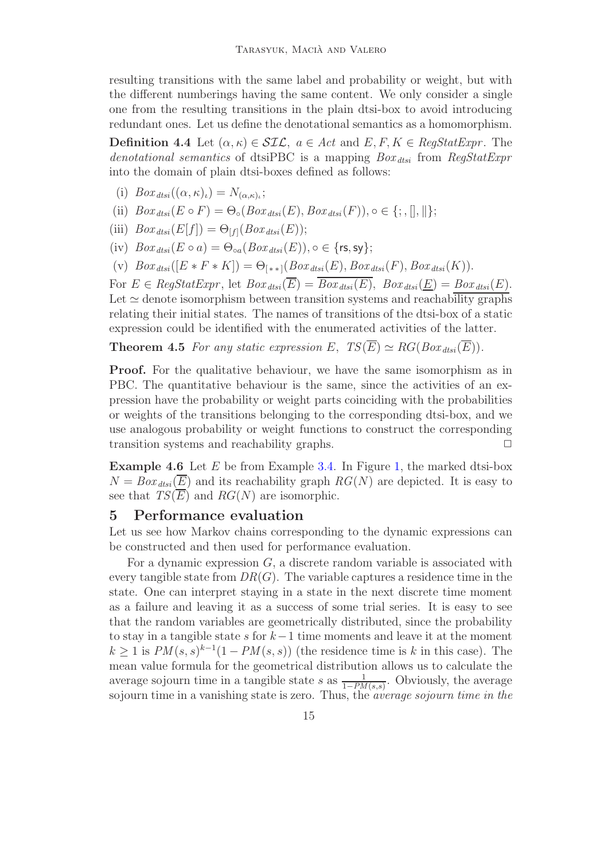resulting transitions with the same label and probability or weight, but with the different numberings having the same content. We only consider a single one from the resulting transitions in the plain dtsi-box to avoid introducing redundant ones. Let us define the denotational semantics as a homomorphism.

**Definition 4.4** Let  $(\alpha, \kappa) \in \mathcal{SIL}$ ,  $a \in Act$  and  $E, F, K \in RegStatexpr$ . The denotational semantics of dtsiPBC is a mapping  $Box_{dist}$  from  $RegStatExpr$ into the domain of plain dtsi-boxes defined as follows:

- (i)  $Box_{dtsi}((\alpha,\kappa)_{\iota})=N_{(\alpha,\kappa)_{\iota}};$
- (ii)  $Box_{dtsi}(E \circ F) = \Theta_{\circ}(Box_{dtsi}(E),Box_{dtsi}(F)), \circ \in \{; , \|, \| \};$
- (iii)  $Box_{dtsi}(E[f]) = \Theta_{[f]}(Box_{dtsi}(E));$
- (iv)  $Box_{dtsi}(E \circ a) = \Theta_{oa}(Box_{dtsi}(E)), o \in \{rs, sy\};$
- (v)  $Box_{dtsi}([E * F * K]) = \Theta_{(**]}(Box_{dtsi}(E),Box_{dtsi}(F),Box_{dtsi}(K)).$

For  $E \in RegStatexpr$ , let  $Box_{dtsi}(\overline{E}) = \overline{Box_{dtsi}(E)}$ ,  $Box_{dtsi}(\underline{E}) = Box_{dtsi}(E)$ . Let  $\simeq$  denote isomorphism between transition systems and reachability graphs relating their initial states. The names of transitions of the dtsi-box of a static expression could be identified with the enumerated activities of the latter.

**Theorem 4.5** For any static expression E,  $TS(\overline{E}) \simeq RG(Box_{dtsi}(\overline{E}))$ .

**Proof.** For the qualitative behaviour, we have the same isomorphism as in PBC. The quantitative behaviour is the same, since the activities of an expression have the probability or weight parts coinciding with the probabilities or weights of the transitions belonging to the corresponding dtsi-box, and we use analogous probability or weight functions to construct the corresponding transition systems and reachability graphs.  $\Box$ 

**Example 4.6** Let E be from Example [3.4.](#page-10-1) In Figure [1,](#page-15-0) the marked dtsi-box  $N = Box_{dtsi}(\overline{E})$  and its reachability graph  $RG(N)$  are depicted. It is easy to see that  $TS(\overline{E})$  and  $RG(N)$  are isomorphic.

### <span id="page-14-0"></span>5 Performance evaluation

Let us see how Markov chains corresponding to the dynamic expressions can be constructed and then used for performance evaluation.

For a dynamic expression  $G$ , a discrete random variable is associated with every tangible state from  $DR(G)$ . The variable captures a residence time in the state. One can interpret staying in a state in the next discrete time moment as a failure and leaving it as a success of some trial series. It is easy to see that the random variables are geometrically distributed, since the probability to stay in a tangible state s for  $k-1$  time moments and leave it at the moment  $k \geq 1$  is  $PM(s, s)^{k-1}(1 - PM(s, s))$  (the residence time is k in this case). The mean value formula for the geometrical distribution allows us to calculate the average sojourn time in a tangible state s as  $\frac{1}{1 - PM(s,s)}$ . Obviously, the average sojourn time in a vanishing state is zero. Thus, the *average sojourn time in the*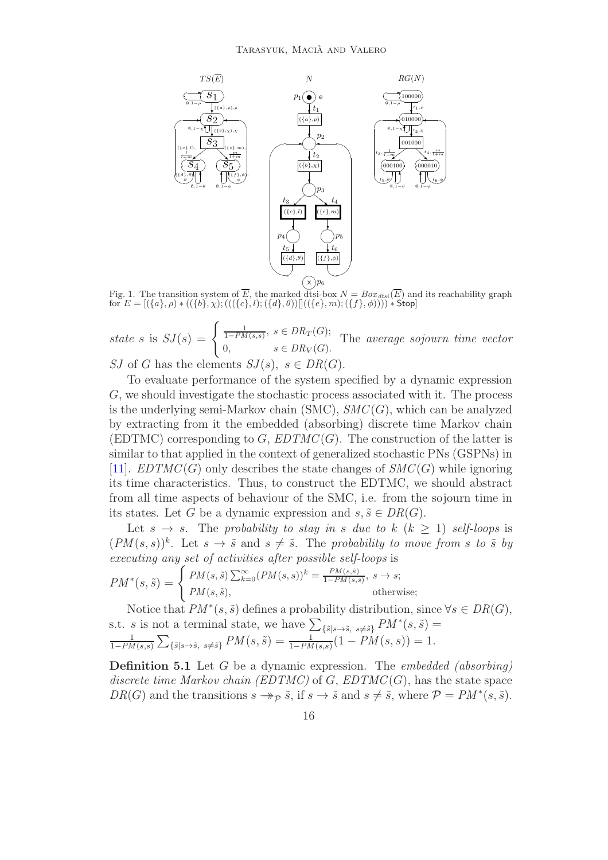

<span id="page-15-0"></span>Fig. 1. The transition system of  $\overline{E}$ , the marked dtsi-box  $N = Box_{dis}(\overline{E})$  and its reachability graph for  $E = [(\{a\}, \rho) * ((\{b\}, \chi); (((\{c\}, l); (\{d\}, \theta))]]((\{e\}, m); (\{f\}, \phi)))) * Stop]$ 

state s is  $SJ(s) = \begin{cases} \frac{1}{1-PM(s,s)}, & s \in DR_T(G); \\ 0 & \text{or } \mathbb{R}^n \end{cases}$ 0,  $s \in DR_V(G)$ . The average sojourn time vector

SJ of G has the elements  $SJ(s), s \in DR(G)$ .

To evaluate performance of the system specified by a dynamic expression G, we should investigate the stochastic process associated with it. The process is the underlying semi-Markov chain (SMC),  $SMC(G)$ , which can be analyzed by extracting from it the embedded (absorbing) discrete time Markov chain (EDTMC) corresponding to G,  $EDTMC(G)$ . The construction of the latter is similar to that applied in the context of generalized stochastic PNs (GSPNs) in [\[11\]](#page-20-13).  $EDTMC(G)$  only describes the state changes of  $SMC(G)$  while ignoring its time characteristics. Thus, to construct the EDTMC, we should abstract from all time aspects of behaviour of the SMC, i.e. from the sojourn time in its states. Let G be a dynamic expression and  $s, \tilde{s} \in DR(G)$ .

Let  $s \to s$ . The probability to stay in s due to k  $(k > 1)$  self-loops is  $(PM(s, s))^k$ . Let  $s \to \tilde{s}$  and  $s \neq \tilde{s}$ . The probability to move from s to  $\tilde{s}$  by executing any set of activities after possible self-loops is

$$
PM^*(s, \tilde{s}) = \begin{cases} PM(s, \tilde{s}) \sum_{k=0}^{\infty} (PM(s, s))^k = \frac{PM(s, \tilde{s})}{1 - PM(s, s)}, & s \to s; \\ PM(s, \tilde{s}), & \text{otherwise}; \end{cases}
$$

Notice that  $PM^*(s, \tilde{s})$  defines a probability distribution, since  $\forall s \in DR(G)$ , s.t. s is not a terminal state, we have  $\sum_{\{\tilde{s}|s\rightarrow \tilde{s}, s\neq \tilde{s}\}} PM^*(s, \tilde{s}) =$ 1  $\frac{1}{1-PM(s,s)}\sum_{\{\tilde{s}\mid s\to \tilde{s}, s\neq \tilde{s}\}}PM(s,\tilde{s}) = \frac{1}{1-PM(s,s)}(1-PM(s,s)) = 1.$ 

**Definition 5.1** Let G be a dynamic expression. The *embedded (absorbing)* discrete time Markov chain (EDTMC) of G,  $EDTMC(G)$ , has the state space  $DR(G)$  and the transitions  $s \rightarrow \infty \tilde{s}$ , if  $s \rightarrow \tilde{s}$  and  $s \neq \tilde{s}$ , where  $P = PM^*(s, \tilde{s})$ .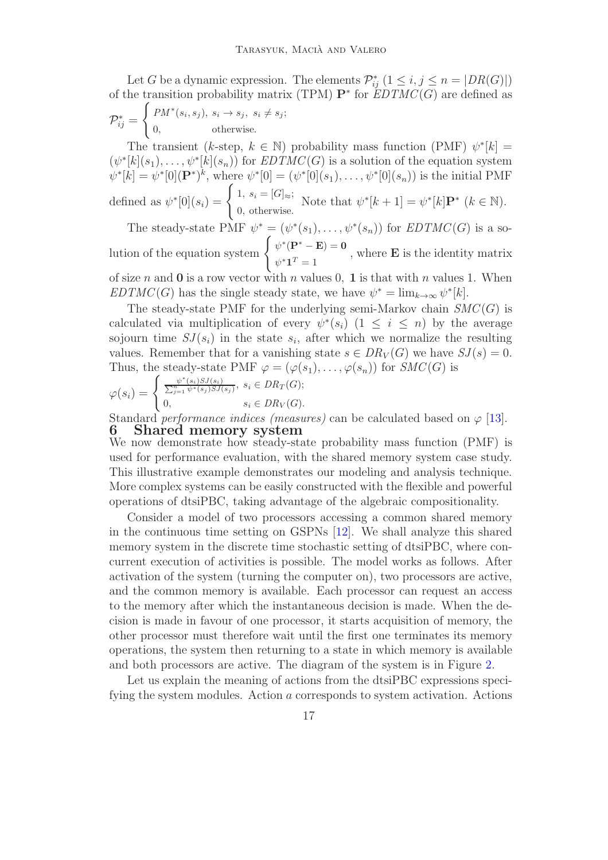Let G be a dynamic expression. The elements  $\mathcal{P}_{ij}^*$   $(1 \leq i, j \leq n = |DR(G)|)$ of the transition probability matrix (TPM)  $\mathbf{P}^*$  for  $\text{EDTMC}(G)$  are defined as  $\sqrt{ }$ 

$$
\mathcal{P}_{ij}^* = \begin{cases} PM^*(s_i, s_j), & s_i \to s_j, \ s_i \neq s_j; \\ 0, & \text{otherwise.} \end{cases}
$$

The transient (k-step,  $k \in \mathbb{N}$ ) probability mass function (PMF)  $\psi^*[k] =$  $(\psi^*[k](s_1), \ldots, \psi^*[k](s_n))$  for  $EDTMC(G)$  is a solution of the equation system  $\psi^*[k] = \psi^*[0](\mathbf{P}^*)^k$ , where  $\psi^*[0] = (\psi^*[0](s_1), \dots, \psi^*[0](s_n))$  is the initial PMF defined as  $\psi^*[0](s_i) = \begin{cases} 1, s_i = [G]_{\approx}; \\ 0, \text{otherwise}. \end{cases}$ 0, otherwise. Note that  $\psi^*[k+1] = \psi^*[k] \mathbf{P}^*$   $(k \in \mathbb{N})$ .

The steady-state PMF  $\psi^* = (\psi^*(s_1), \dots, \psi^*(s_n))$  for  $EDTMC(G)$  is a solution of the equation system  $\begin{cases} \psi^*(\mathbf{P}^* - \mathbf{E}) = \mathbf{0} \end{cases}$  $\psi^* \mathbf{1}^T = 1$ , where E is the identity matrix of size n and **0** is a row vector with n values 0, **1** is that with n values 1. When  $EDTMC(G)$  has the single steady state, we have  $\psi^* = \lim_{k \to \infty} \psi^*[k]$ .

The steady-state PMF for the underlying semi-Markov chain  $SMC(G)$  is calculated via multiplication of every  $\psi^*(s_i)$   $(1 \leq i \leq n)$  by the average sojourn time  $SJ(s_i)$  in the state  $s_i$ , after which we normalize the resulting values. Remember that for a vanishing state  $s \in DR_V(G)$  we have  $SJ(s) = 0$ . Thus, the steady-state PMF  $\varphi = (\varphi(s_1), \ldots, \varphi(s_n))$  for  $SMC(G)$  is

$$
\varphi(s_i) = \begin{cases} \frac{\psi^*(s_i)SJ(s_i)}{\sum_{j=1}^n \psi^*(s_j)SJ(s_j)}, \ s_i \in DR_T(G); \\ 0, \qquad \qquad s_i \in DR_V(G). \end{cases}
$$

<span id="page-16-0"></span>Standard *performance indices (measures)* can be calculated based on  $\varphi$  [\[13\]](#page-20-14). 6 Shared memory system

We now demonstrate how steady-state probability mass function (PMF) is used for performance evaluation, with the shared memory system case study. This illustrative example demonstrates our modeling and analysis technique. More complex systems can be easily constructed with the flexible and powerful operations of dtsiPBC, taking advantage of the algebraic compositionality.

Consider a model of two processors accessing a common shared memory in the continuous time setting on GSPNs [\[12\]](#page-20-15). We shall analyze this shared memory system in the discrete time stochastic setting of dtsiPBC, where concurrent execution of activities is possible. The model works as follows. After activation of the system (turning the computer on), two processors are active, and the common memory is available. Each processor can request an access to the memory after which the instantaneous decision is made. When the decision is made in favour of one processor, it starts acquisition of memory, the other processor must therefore wait until the first one terminates its memory operations, the system then returning to a state in which memory is available and both processors are active. The diagram of the system is in Figure [2.](#page-17-0)

Let us explain the meaning of actions from the dtsiPBC expressions specifying the system modules. Action a corresponds to system activation. Actions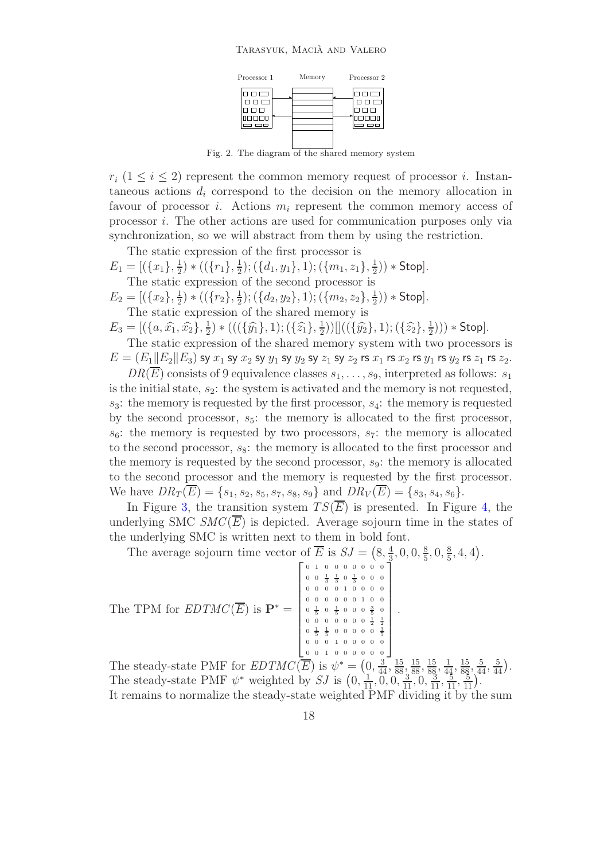

<span id="page-17-0"></span>Fig. 2. The diagram of the shared memory system

 $r_i$   $(1 \leq i \leq 2)$  represent the common memory request of processor i. Instantaneous actions  $d_i$  correspond to the decision on the memory allocation in favour of processor *i*. Actions  $m_i$  represent the common memory access of processor i. The other actions are used for communication purposes only via synchronization, so we will abstract from them by using the restriction.

The static expression of the first processor is

 $E_1 = [(\{x_1\}, \frac{1}{2}]$  $(\{r_1\},\frac{1}{2})$  $(\{d_1,y_1\},1); (\{m_1,z_1\},\frac{1}{2})$  $(\frac{1}{2})$   $*$  Stop]. The static expression of the second processor is

 $E_2 = [(\{x_2\}, \frac{1}{2}]$  $(\{r_2\},\frac{1}{2})$  $(\{d_2,y_2\},1); (\{m_2,z_2\},\frac{1}{2})$  $(\frac{1}{2})$   $*$  Stop].

The static expression of the shared memory is  $E_3 = [(\{a, \hat{x_1}, \hat{x_2}\}, \frac{1}{2})$  $(\{\widehat{y_1}\},1); (\{\widehat{z_1}\},\frac{1}{2})$  $(\{\hat{y}_2\}, 1); (\{\hat{z}_2\}, \frac{1}{2})$  $(\frac{1}{2}))) *$  Stop].

The static expression of the shared memory system with two processors is  $E=(E_1\|E_2\|E_3)$  sy  $x_1$  sy  $x_2$  sy  $y_1$  sy  $y_2$  sy  $z_1$  sy  $z_2$  rs  $x_1$  rs  $x_2$  rs  $y_1$  rs  $y_2$  rs  $z_1$  rs  $z_2.$  $DR(\overline{E})$  consists of 9 equivalence classes  $s_1, \ldots, s_9$ , interpreted as follows:  $s_1$ 

is the initial state,  $s_2$ : the system is activated and the memory is not requested,  $s_3$ : the memory is requested by the first processor,  $s_4$ : the memory is requested by the second processor,  $s_5$ : the memory is allocated to the first processor,  $s_6$ : the memory is requested by two processors,  $s_7$ : the memory is allocated to the second processor,  $s_8$ : the memory is allocated to the first processor and the memory is requested by the second processor,  $s<sub>9</sub>$ : the memory is allocated to the second processor and the memory is requested by the first processor. We have  $DR_T(\overline{E}) = \{s_1, s_2, s_5, s_7, s_8, s_9\}$  and  $DR_V(\overline{E}) = \{s_3, s_4, s_6\}.$ 

In Figure [3,](#page-18-0) the transition system  $TS(\overline{E})$  is presented. In Figure [4,](#page-18-1) the underlying SMC  $SMC(\overline{E})$  is depicted. Average sojourn time in the states of the underlying SMC is written next to them in bold font.

The average sojourn time vector of  $\overline{E}$  is  $SJ = \left(8, \frac{4}{3}\right)$  $\frac{4}{3}$ , 0, 0,  $\frac{8}{5}$  $\frac{8}{5}$ , 0,  $\frac{8}{5}$  $\frac{8}{5}$ , 4, 4).

The TPM for  $\mathit{EDTMC}(\overline E)$  is  $\mathbf P^*=$  $\sqrt{ }$  0 1 0 0 0 0 0 0 0 0 0  $\frac{1}{3}$   $\frac{1}{3}$  0  $\frac{1}{3}$  0 0 0 0 0 0 0 1 0 0 0 0 0 0 0 0 0 0 1 0 0  $0 \frac{1}{5}$   $0 \frac{1}{5}$  0 0 0  $\frac{3}{5}$  0  $\begin{array}{cccccccc}\n0 & 0 & 0 & 0 & 0 & 0 & \frac{1}{2} & \frac{1}{2} \\
0 & \frac{1}{5} & \frac{1}{5} & 0 & 0 & 0 & 0 & 0 & \frac{3}{5} \\
0 & 0 & 0 & 1 & 0 & 0 & 0 & 0 & 0\n\end{array}$  $\begin{bmatrix} 0 & 0 & 1 & 0 & 0 & 0 & 0 & 0 & 0 \end{bmatrix}$ Ť  $\overline{a}$  $\overline{ }$  $\frac{1}{2}$  $\parallel$  $\frac{1}{2}$  $\mathbf{I}$  $\overline{1}$  $\overline{1}$ .

The steady-state PMF for  $EDTMC(\overline{E})$  is  $\psi^* = \left(0, \frac{3}{44}, \frac{15}{88}, \frac{15}{88}, \frac{15}{88}, \frac{1}{44}, \frac{15}{88}, \frac{5}{44}, \frac{5}{44}\right)$ . The steady-state PMF  $\psi^*$  weighted by SJ is  $(0, \frac{1}{11}, 0, 0, \frac{3}{11}, 0, \frac{3}{11}, \frac{3}{11}, \frac{3}{11}, \frac{3}{11})$ . It remains to normalize the steady-state weighted PMF dividing it by the sum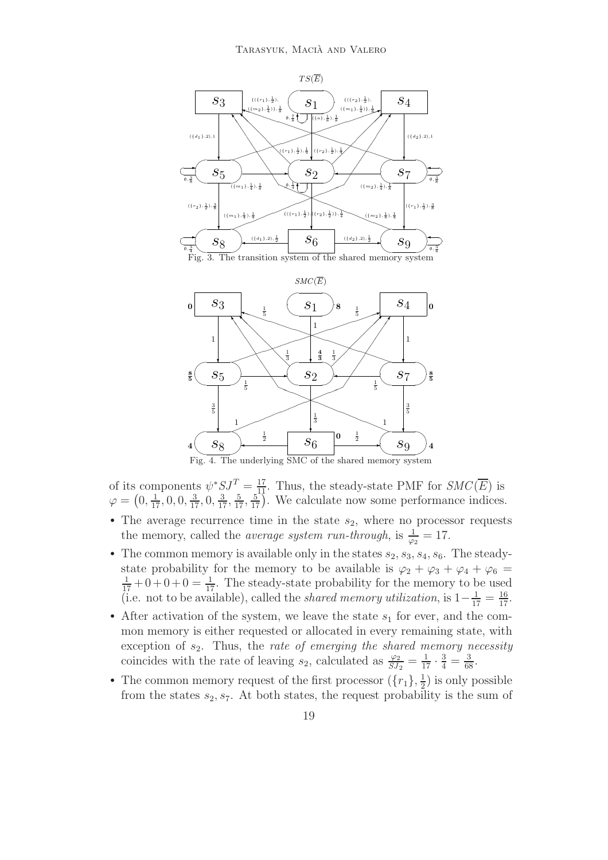<span id="page-18-0"></span>

<span id="page-18-1"></span>of its components  $\psi^* S J^T = \frac{17}{11}$ . Thus, the steady-state PMF for  $SMC(\overline{E})$  is  $\varphi = \left(0, \frac{1}{17}, 0, 0, \frac{3}{17}, 0, \frac{3}{17}, \frac{5}{17}, \frac{5}{17}\right)$ . We calculate now some performance indices.

- The average recurrence time in the state  $s_2$ , where no processor requests the memory, called the *average system run-through*, is  $\frac{1}{\varphi_2} = 17$ .
- The common memory is available only in the states  $s_2, s_3, s_4, s_6$ . The steadystate probability for the memory to be available is  $\varphi_2 + \varphi_3 + \varphi_4 + \varphi_6 =$  $\frac{1}{17} + 0 + 0 + 0 = \frac{1}{17}$ . The steady-state probability for the memory to be used (i.e. not to be available), called the *shared memory utilization*, is  $1 - \frac{1}{17} = \frac{16}{17}$ .
- After activation of the system, we leave the state  $s_1$  for ever, and the common memory is either requested or allocated in every remaining state, with exception of  $s_2$ . Thus, the rate of emerging the shared memory necessity coincides with the rate of leaving  $s_2$ , calculated as  $\frac{\varphi_2}{SJ_2} = \frac{1}{17} \cdot \frac{3}{4} = \frac{3}{68}$ .
- The common memory request of the first processor  $({r_1}, \frac{1}{2})$  $(\frac{1}{2})$  is only possible from the states  $s_2$ ,  $s_7$ . At both states, the request probability is the sum of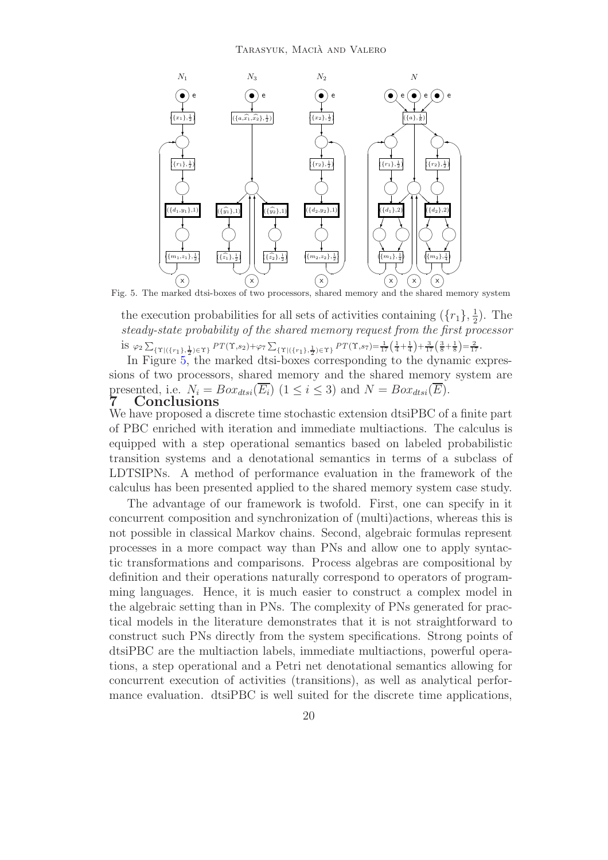

<span id="page-19-1"></span>the execution probabilities for all sets of activities containing  $({r_1}, \frac{1}{2})$  $\frac{1}{2}$ ). The steady-state probability of the shared memory request from the first processor is  $\varphi_2$   $\Sigma$  ${T|({r_1},\frac{1}{2}) \in \Upsilon}$   $PT(\Upsilon,s_2)+\varphi_7 \sum$  ${\rm Tr}\left[\left(\{r_1\},\frac{1}{2}\right)\in\Upsilon\right]\,PT\left(\Upsilon,s_7\right)=\frac{1}{17}\left(\frac{1}{4}+\frac{1}{4}\right)+\frac{3}{17}\left(\frac{3}{8}+\frac{1}{8}\right)=\frac{2}{17}\,.$ 

<span id="page-19-0"></span>In Figure [5,](#page-19-1) the marked dtsi-boxes corresponding to the dynamic expressions of two processors, shared memory and the shared memory system are presented, i.e.  $N_i = Box_{dtsi}(E_i)$   $(1 \leq i \leq 3)$  and  $N = Box_{dtsi}(E)$ . 7 Conclusions

We have proposed a discrete time stochastic extension dtsiPBC of a finite part of PBC enriched with iteration and immediate multiactions. The calculus is equipped with a step operational semantics based on labeled probabilistic transition systems and a denotational semantics in terms of a subclass of LDTSIPNs. A method of performance evaluation in the framework of the calculus has been presented applied to the shared memory system case study.

The advantage of our framework is twofold. First, one can specify in it concurrent composition and synchronization of (multi)actions, whereas this is not possible in classical Markov chains. Second, algebraic formulas represent processes in a more compact way than PNs and allow one to apply syntactic transformations and comparisons. Process algebras are compositional by definition and their operations naturally correspond to operators of programming languages. Hence, it is much easier to construct a complex model in the algebraic setting than in PNs. The complexity of PNs generated for practical models in the literature demonstrates that it is not straightforward to construct such PNs directly from the system specifications. Strong points of dtsiPBC are the multiaction labels, immediate multiactions, powerful operations, a step operational and a Petri net denotational semantics allowing for concurrent execution of activities (transitions), as well as analytical performance evaluation. dtsiPBC is well suited for the discrete time applications,